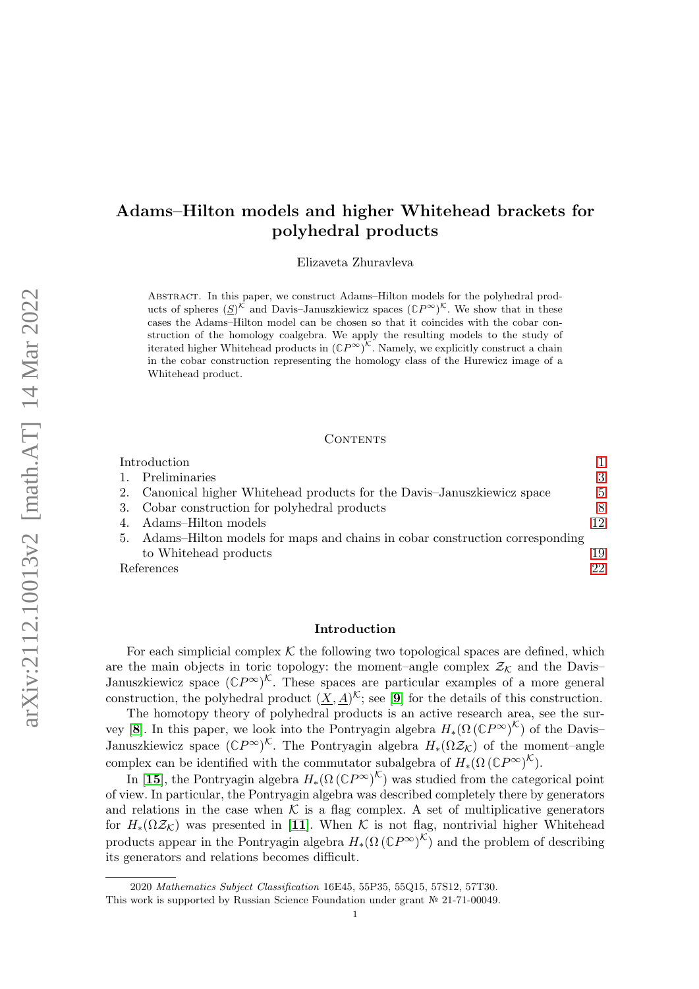# Adams–Hilton models and higher Whitehead brackets for polyhedral products

Elizaveta Zhuravleva

Abstract. In this paper, we construct Adams–Hilton models for the polyhedral products of spheres  $(\underline{S})^{\mathcal{K}}$  and Davis-Januszkiewicz spaces  $({\mathbb{C}}P^{\infty})^{\mathcal{K}}$ . We show that in these cases the Adams–Hilton model can be chosen so that it coincides with the cobar construction of the homology coalgebra. We apply the resulting models to the study of iterated higher Whitehead products in  $({\mathbb{C}}P^{\infty})^{\mathcal{K}}$ . Namely, we explicitly construct a chain in the cobar construction representing the homology class of the Hurewicz image of a Whitehead product.

### CONTENTS

|    | Introduction                                                                |    |
|----|-----------------------------------------------------------------------------|----|
|    | Preliminaries                                                               | 3  |
|    | Canonical higher Whitehead products for the Davis-Januszkiewicz space       | 5  |
|    | 3. Cobar construction for polyhedral products                               | 8  |
|    | Adams–Hilton models                                                         | 12 |
| 5. | Adams–Hilton models for maps and chains in cobar construction corresponding |    |
|    | to Whitehead products                                                       | 19 |
|    | References                                                                  | 22 |

### <span id="page-0-0"></span>Introduction

For each simplicial complex  $K$  the following two topological spaces are defined, which are the main objects in toric topology: the moment–angle complex  $\mathcal{Z}_\mathcal{K}$  and the Davis– Januszkiewicz space  $({\mathbb{C}}P^{\infty})^{\mathcal{K}}$ . These spaces are particular examples of a more general construction, the polyhedral product  $(\underline{X}, \underline{A})^{\mathcal{K}}$ ; see [[9](#page-22-0)] for the details of this construction.

The homotopy theory of polyhedral products is an active research area, see the sur-vey [[8](#page-22-1)]. In this paper, we look into the Pontryagin algebra  $H_*(\Omega(\mathbb{C}P^{\infty})^{\mathcal{K}})$  of the Davis– Januszkiewicz space  $(\mathbb{C}P^{\infty})^{\mathcal{K}}$ . The Pontryagin algebra  $H_*(\Omega \mathcal{Z}_{\mathcal{K}})$  of the moment–angle complex can be identified with the commutator subalgebra of  $H_*(\Omega(\mathbb{C}P^\infty)^{\mathcal{K}})$ .

In [[15](#page-22-2)], the Pontryagin algebra  $H_*(\Omega \left(\mathbb{C}P^\infty\right)^{\mathcal{K}})$  was studied from the categorical point of view. In particular, the Pontryagin algebra was described completely there by generators and relations in the case when  $K$  is a flag complex. A set of multiplicative generators for  $H_*(\Omega \mathcal{Z}_{\mathcal{K}})$  was presented in [[11](#page-22-3)]. When K is not flag, nontrivial higher Whitehead products appear in the Pontryagin algebra  $H_*(\Omega(\mathbb{C}P^\infty)^{\mathcal{K}})$  and the problem of describing its generators and relations becomes difficult.

<sup>2020</sup> Mathematics Subject Classification 16E45, 55P35, 55Q15, 57S12, 57T30.

This work is supported by Russian Science Foundation under grant № 21-71-00049.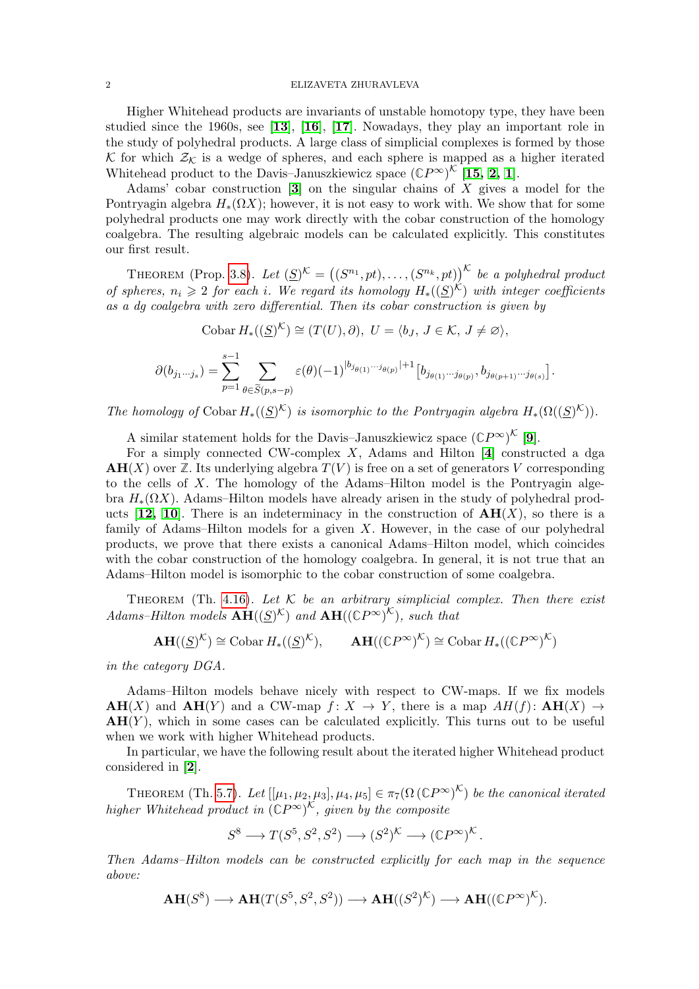### 2 ELIZAVETA ZHURAVLEVA

Higher Whitehead products are invariants of unstable homotopy type, they have been studied since the 1960s, see [[13](#page-22-4)], [[16](#page-22-5)], [[17](#page-22-6)]. Nowadays, they play an important role in the study of polyhedral products. A large class of simplicial complexes is formed by those K for which  $\mathcal{Z}_{\mathcal{K}}$  is a wedge of spheres, and each sphere is mapped as a higher iterated Whitehead product to the Davis–Januszkiewicz space  $(\mathbb{C}P^{\infty})^{\mathcal{K}}$  [[15,](#page-22-2) [2,](#page-21-1) [1](#page-21-2)].

Adams' cobar construction  $\mathfrak{g}$  on the singular chains of X gives a model for the Pontryagin algebra  $H_*(\Omega X)$ ; however, it is not easy to work with. We show that for some polyhedral products one may work directly with the cobar construction of the homology coalgebra. The resulting algebraic models can be calculated explicitly. This constitutes our first result.

THEOREM (Prop. [3.8\)](#page-10-0). Let  $(\underline{S})^{\mathcal{K}} = ((S^{n_1}, pt), \ldots, (S^{n_k}, pt))^{\mathcal{K}}$  be a polyhedral product of spheres,  $n_i \geqslant 2$  for each i. We regard its homology  $H_*((S)^{\mathcal{K}})$  with integer coefficients as a dg coalgebra with zero differential. Then its cobar construction is given by

Cobar 
$$
H_*((\underline{S})^{\mathcal{K}}) \cong (T(U), \partial), U = \langle b_J, J \in \mathcal{K}, J \neq \varnothing \rangle,
$$
  

$$
\partial(b_{j_1\cdots j_s}) = \sum_{p=1}^{s-1} \sum_{\theta \in \widetilde{S}(p,s-p)} \varepsilon(\theta)(-1)^{|b_{j_{\theta(1)}\cdots j_{\theta(p)}}|+1} [b_{j_{\theta(1)}\cdots j_{\theta(p)}}, b_{j_{\theta(p+1)}\cdots j_{\theta(s)}}].
$$

The homology of Cobar  $H_*((S)^{\mathcal{K}})$  is isomorphic to the Pontryagin algebra  $H_*(\Omega((S)^{\mathcal{K}}))$ .

A similar statement holds for the Davis–Januszkiewicz space  $({\mathbb{C}}P^{\infty})^{\mathcal{K}}$  [[9](#page-22-0)].

For a simply connected CW-complex  $X$ , Adams and Hilton [[4](#page-21-4)] constructed a dga  $AH(X)$  over  $\mathbb{Z}$ . Its underlying algebra  $T(V)$  is free on a set of generators V corresponding to the cells of X. The homology of the Adams–Hilton model is the Pontryagin algebra  $H_*(\Omega X)$ . Adams–Hilton models have already arisen in the study of polyhedral products  $[12, 10]$  $[12, 10]$  $[12, 10]$  $[12, 10]$ . There is an indeterminacy in the construction of  $AH(X)$ , so there is a family of Adams–Hilton models for a given  $X$ . However, in the case of our polyhedral products, we prove that there exists a canonical Adams–Hilton model, which coincides with the cobar construction of the homology coalgebra. In general, it is not true that an Adams–Hilton model is isomorphic to the cobar construction of some coalgebra.

THEOREM (Th. [4.16\)](#page-18-1). Let  $K$  be an arbitrary simplicial complex. Then there exist Adams–Hilton models  $\mathbf{AH}((S)^{\mathcal{K}})$  and  $\mathbf{AH}((\mathbb{C}P^{\infty})^{\mathcal{K}})$ , such that

$$
\mathbf{AH}((\underline{S})^{\mathcal{K}}) \cong \mathrm{Cobar} \, H_*((\underline{S})^{\mathcal{K}}), \qquad \mathbf{AH}((\mathbb{C}P^{\infty})^{\mathcal{K}}) \cong \mathrm{Cobar} \, H_*((\mathbb{C}P^{\infty})^{\mathcal{K}})
$$

in the category DGA.

Adams–Hilton models behave nicely with respect to CW-maps. If we fix models  $AH(X)$  and  $AH(Y)$  and a CW-map  $f: X \to Y$ , there is a map  $AH(f): AH(X) \to$  $AH(Y)$ , which in some cases can be calculated explicitly. This turns out to be useful when we work with higher Whitehead products.

In particular, we have the following result about the iterated higher Whitehead product considered in [[2](#page-21-1)].

THEOREM (Th. [5.7\)](#page-21-5). Let  $[[\mu_1, \mu_2, \mu_3], \mu_4, \mu_5] \in \pi_7(\Omega \, (\mathbb{C}P^\infty)^{\mathcal{K}})$  be the canonical iterated higher Whitehead product in  $(\mathbb{C}P^{\infty})^{\mathcal{K}}$ , given by the composite

$$
S^8 \longrightarrow T(S^5, S^2, S^2) \longrightarrow (S^2)^{\mathcal{K}} \longrightarrow (\mathbb{C}P^{\infty})^{\mathcal{K}}.
$$

Then Adams–Hilton models can be constructed explicitly for each map in the sequence above:

$$
\mathbf{AH}(S^8) \longrightarrow \mathbf{AH}(T(S^5, S^2, S^2)) \longrightarrow \mathbf{AH}((S^2)^{\mathcal{K}}) \longrightarrow \mathbf{AH}((\mathbb{C}P^{\infty})^{\mathcal{K}}).
$$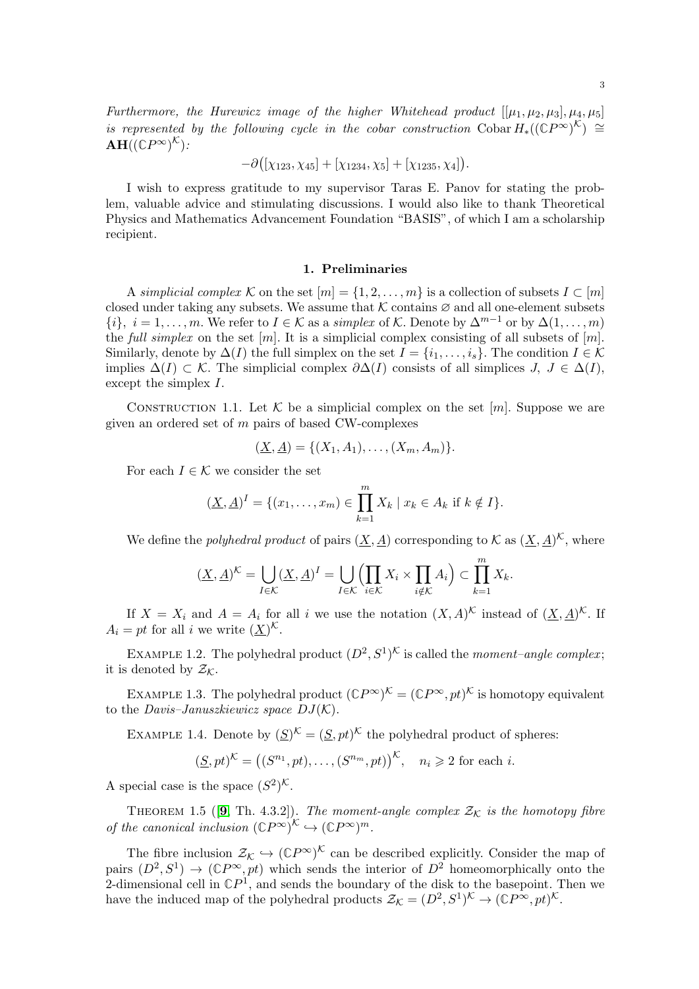Furthermore, the Hurewicz image of the higher Whitehead product  $[[\mu_1, \mu_2, \mu_3], \mu_4, \mu_5]$ is represented by the following cycle in the cobar construction  $\text{Cobar } H_*((\mathbb{C}P^{\infty})^{\mathcal{K}}) \cong$  $\mathbf{AH}((\mathbb{C} P^{\infty})^{\mathcal{K}})$  :

$$
-\partial([\chi_{123},\chi_{45}]+[\chi_{1234},\chi_5]+[\chi_{1235},\chi_4]).
$$

I wish to express gratitude to my supervisor Taras E. Panov for stating the problem, valuable advice and stimulating discussions. I would also like to thank Theoretical Physics and Mathematics Advancement Foundation "BASIS", of which I am a scholarship recipient.

## 1. Preliminaries

<span id="page-2-0"></span>A simplicial complex K on the set  $[m] = \{1, 2, \ldots, m\}$  is a collection of subsets  $I \subset [m]$ closed under taking any subsets. We assume that K contains  $\varnothing$  and all one-element subsets  $\{i\}, i = 1, \ldots, m$ . We refer to  $I \in \mathcal{K}$  as a simplex of K. Denote by  $\Delta^{m-1}$  or by  $\Delta(1, \ldots, m)$ the full simplex on the set  $[m]$ . It is a simplicial complex consisting of all subsets of  $[m]$ . Similarly, denote by  $\Delta(I)$  the full simplex on the set  $I = \{i_1, \ldots, i_s\}$ . The condition  $I \in \mathcal{K}$ implies  $\Delta(I) \subset \mathcal{K}$ . The simplicial complex  $\partial \Delta(I)$  consists of all simplices  $J, J \in \Delta(I)$ , except the simplex I.

CONSTRUCTION 1.1. Let K be a simplicial complex on the set [m]. Suppose we are given an ordered set of m pairs of based CW-complexes

$$
(\underline{X}, \underline{A}) = \{ (X_1, A_1), \dots, (X_m, A_m) \}.
$$

For each  $I \in \mathcal{K}$  we consider the set

$$
(\underline{X}, \underline{A})^I = \{ (x_1, \dots, x_m) \in \prod_{k=1}^m X_k \mid x_k \in A_k \text{ if } k \notin I \}.
$$

We define the *polyhedral product* of pairs  $(\underline{X}, \underline{A})$  corresponding to K as  $(\underline{X}, \underline{A})^{\mathcal{K}}$ , where

$$
(\underline{X}, \underline{A})^{\mathcal{K}} = \bigcup_{I \in \mathcal{K}} (\underline{X}, \underline{A})^I = \bigcup_{I \in \mathcal{K}} \left( \prod_{i \in \mathcal{K}} X_i \times \prod_{i \notin \mathcal{K}} A_i \right) \subset \prod_{k=1}^m X_k.
$$

If  $X = X_i$  and  $A = A_i$  for all i we use the notation  $(X, A)^{\mathcal{K}}$  instead of  $(\underline{X}, \underline{A})^{\mathcal{K}}$ . If  $A_i = pt$  for all i we write  $(\underline{X})^{\mathcal{K}}$ .

EXAMPLE 1.2. The polyhedral product  $(D^2, S^1)^{\mathcal{K}}$  is called the moment-angle complex; it is denoted by  $\mathcal{Z}_\mathcal{K}$ .

EXAMPLE 1.3. The polyhedral product  $({\mathbb{C}}P^{\infty})^{\mathcal{K}} = ({\mathbb{C}}P^{\infty}, pt)^{\mathcal{K}}$  is homotopy equivalent to the *Davis–Januszkiewicz space*  $DJ(K)$ *.* 

EXAMPLE 1.4. Denote by  $(\underline{S})^{\mathcal{K}} = (\underline{S}, pt)^{\mathcal{K}}$  the polyhedral product of spheres:

$$
(\underline{S}, pt)^{\mathcal{K}} = ((S^{n_1}, pt), \dots, (S^{n_m}, pt))^{\mathcal{K}}, \quad n_i \geq 2 \text{ for each } i.
$$

A special case is the space  $(S^2)^{\mathcal{K}}$ .

THEOREM 1.5 ([[9](#page-22-0), Th. 4.3.2]). The moment-angle complex  $\mathcal{Z}_\mathcal{K}$  is the homotopy fibre of the canonical inclusion  $(\mathbb{C}P^{\infty})^{\mathcal{K}} \hookrightarrow (\mathbb{C}P^{\infty})^m$ .

The fibre inclusion  $\mathcal{Z}_\mathcal{K} \hookrightarrow (\mathbb{C}P^\infty)^\mathcal{K}$  can be described explicitly. Consider the map of pairs  $(D^2, S^1) \to (\mathbb{C}P^{\infty}, pt)$  which sends the interior of  $D^2$  homeomorphically onto the 2-dimensional cell in  $\mathbb{C}P^1$ , and sends the boundary of the disk to the basepoint. Then we have the induced map of the polyhedral products  $\mathcal{Z}_{\mathcal{K}} = (D^2, S^1)^{\mathcal{K}} \to (\mathbb{C}P^{\infty}, pt)^{\mathcal{K}}$ .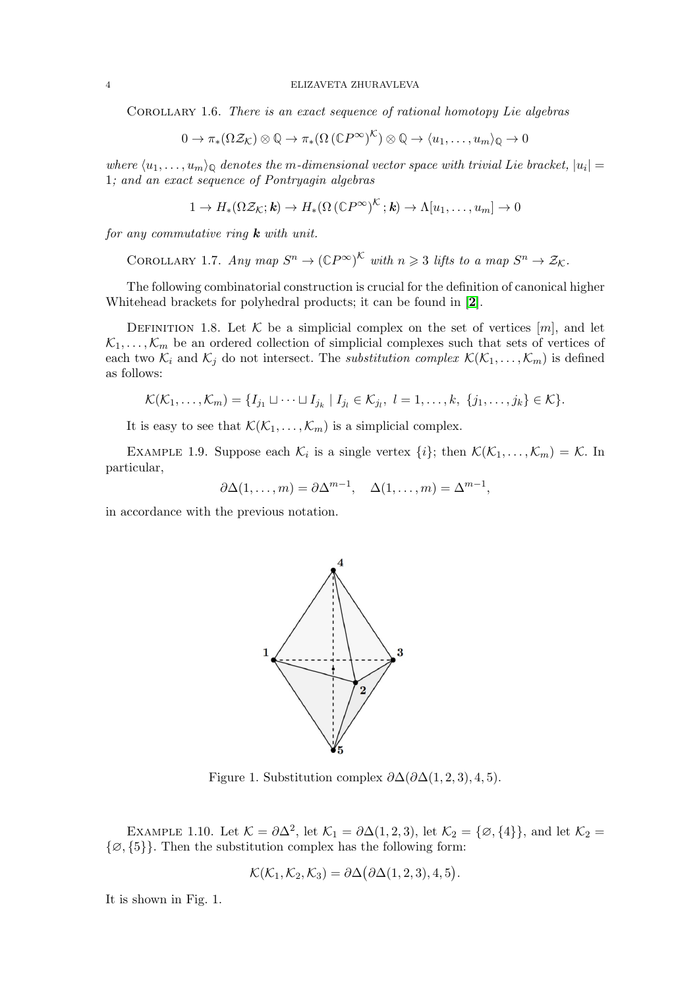Corollary 1.6. There is an exact sequence of rational homotopy Lie algebras

$$
0 \to \pi_*(\Omega \mathcal{Z}_{\mathcal{K}}) \otimes \mathbb{Q} \to \pi_*(\Omega \left(\mathbb{C}P^\infty\right)^{\mathcal{K}}) \otimes \mathbb{Q} \to \langle u_1, \ldots, u_m \rangle_{\mathbb{Q}} \to 0
$$

where  $\langle u_1, \ldots, u_m \rangle_{\mathbb{Q}}$  denotes the m-dimensional vector space with trivial Lie bracket,  $|u_i|$  = 1; and an exact sequence of Pontryagin algebras

$$
1 \to H_*(\Omega \mathcal{Z}_{\mathcal{K}}; \mathbf{k}) \to H_*(\Omega \left(\mathbb{C}P^\infty\right)^{\mathcal{K}}; \mathbf{k}) \to \Lambda[u_1, \ldots, u_m] \to 0
$$

for any commutative ring  $k$  with unit.

COROLLARY 1.7. Any map  $S^n \to (\mathbb{C}P^{\infty})^{\mathcal{K}}$  with  $n \geq 3$  lifts to a map  $S^n \to \mathcal{Z}_{\mathcal{K}}$ .

The following combinatorial construction is crucial for the definition of canonical higher Whitehead brackets for polyhedral products; it can be found in [[2](#page-21-1)].

<span id="page-3-0"></span>DEFINITION 1.8. Let K be a simplicial complex on the set of vertices  $[m]$ , and let  $\mathcal{K}_1, \ldots, \mathcal{K}_m$  be an ordered collection of simplicial complexes such that sets of vertices of each two  $\mathcal{K}_i$  and  $\mathcal{K}_j$  do not intersect. The *substitution complex*  $\mathcal{K}(\mathcal{K}_1, \ldots, \mathcal{K}_m)$  is defined as follows:

$$
\mathcal{K}(\mathcal{K}_1,\ldots,\mathcal{K}_m)=\{I_{j_1}\sqcup\cdots\sqcup I_{j_k}\mid I_{j_l}\in\mathcal{K}_{j_l},\ l=1,\ldots,k,\ \{j_1,\ldots,j_k\}\in\mathcal{K}\}.
$$

It is easy to see that  $\mathcal{K}(\mathcal{K}_1,\ldots,\mathcal{K}_m)$  is a simplicial complex.

EXAMPLE 1.9. Suppose each  $\mathcal{K}_i$  is a single vertex  $\{i\}$ ; then  $\mathcal{K}(\mathcal{K}_1,\ldots,\mathcal{K}_m) = \mathcal{K}$ . In particular,

$$
\partial \Delta(1,\ldots,m) = \partial \Delta^{m-1}, \quad \Delta(1,\ldots,m) = \Delta^{m-1},
$$

in accordance with the previous notation.



Figure 1. Substitution complex  $\partial \Delta(\partial \Delta(1,2,3), 4, 5)$ .

EXAMPLE 1.10. Let  $\mathcal{K} = \partial \Delta^2$ , let  $\mathcal{K}_1 = \partial \Delta(1,2,3)$ , let  $\mathcal{K}_2 = {\emptyset, {\{4\}}}$ , and let  $\mathcal{K}_2 = {\emptyset, {\{4\}}}$  $\{\emptyset, \{5\}\}.$  Then the substitution complex has the following form:

$$
\mathcal{K}(\mathcal{K}_1,\mathcal{K}_2,\mathcal{K}_3)=\partial\Delta(\partial\Delta(1,2,3),4,5).
$$

It is shown in Fig. 1.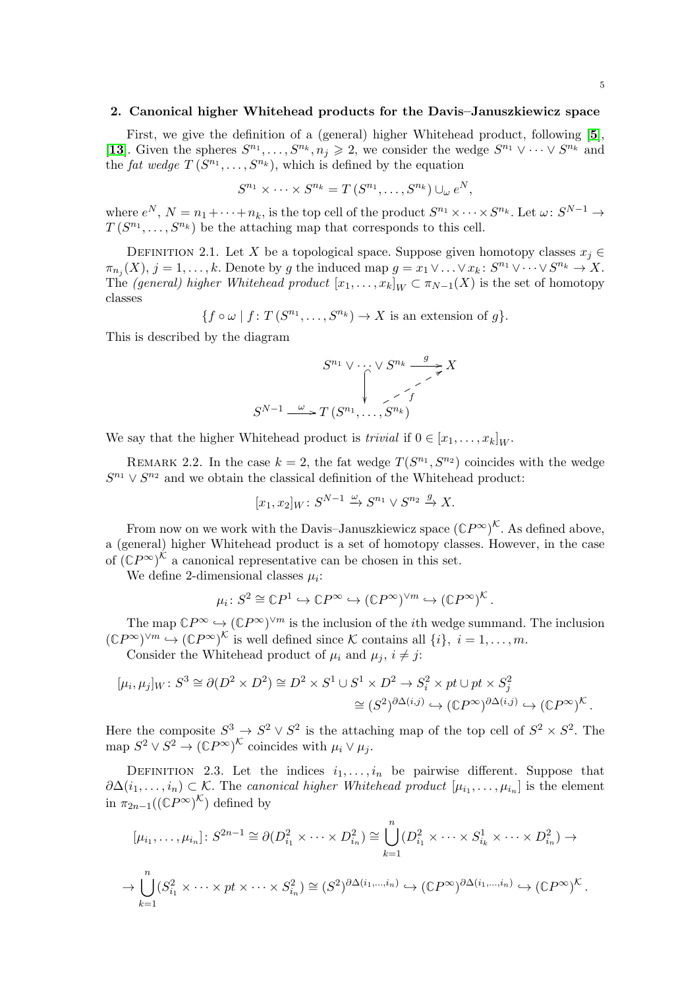### <span id="page-4-0"></span>2. Canonical higher Whitehead products for the Davis–Januszkiewicz space

First, we give the definition of a (general) higher Whitehead product, following [[5](#page-21-6)], [[13](#page-22-4)]. Given the spheres  $S^{n_1}, \ldots, S^{n_k}, n_j \geq 2$ , we consider the wedge  $S^{n_1} \vee \cdots \vee S^{n_k}$  and the fat wedge  $T(S^{n_1},...,S^{n_k}),$  which is defined by the equation

$$
S^{n_1} \times \cdots \times S^{n_k} = T(S^{n_1}, \ldots, S^{n_k}) \cup_{\omega} e^N,
$$

where  $e^N$ ,  $N = n_1 + \cdots + n_k$ , is the top cell of the product  $S^{n_1} \times \cdots \times S^{n_k}$ . Let  $\omega: S^{N-1} \to$  $T(S^{n_1}, \ldots, S^{n_k})$  be the attaching map that corresponds to this cell.

<span id="page-4-1"></span>DEFINITION 2.1. Let X be a topological space. Suppose given homotopy classes  $x_i \in$  $\pi_{n_j}(X), j = 1, \ldots, k.$  Denote by g the induced map  $g = x_1 \vee \ldots \vee x_k : S^{n_1} \vee \cdots \vee S^{n_k} \to X.$ The (general) higher Whitehead product  $[x_1, \ldots, x_k]_W \subset \pi_{N-1}(X)$  is the set of homotopy classes

$$
\{f \circ \omega \mid f: T(S^{n_1}, \ldots, S^{n_k}) \to X \text{ is an extension of } g\}.
$$

This is described by the diagram

$$
S^{n_1} \vee \cdots \vee S^{n_k} \xrightarrow{g} X
$$

$$
S^{N-1} \xrightarrow{\omega} T(S^{n_1}, \dots, S^{n_k})
$$

We say that the higher Whitehead product is *trivial* if  $0 \in [x_1, \ldots, x_k]_W$ .

REMARK 2.2. In the case  $k = 2$ , the fat wedge  $T(S^{n_1}, S^{n_2})$  coincides with the wedge  $S^{n_1} \vee S^{n_2}$  and we obtain the classical definition of the Whitehead product:

$$
[x_1, x_2]_W \colon S^{N-1} \xrightarrow{\omega} S^{n_1} \vee S^{n_2} \xrightarrow{g} X.
$$

From now on we work with the Davis–Januszkiewicz space  $(\mathbb{C}P^{\infty})^{\mathcal{K}}$ . As defined above, a (general) higher Whitehead product is a set of homotopy classes. However, in the case of  $({\mathbb{C}}P^{\infty})^{\mathcal{K}}$  a canonical representative can be chosen in this set.

We define 2-dimensional classes  $\mu_i$ :

$$
\mu_i\colon S^2\cong\mathbb{C}P^1\hookrightarrow\mathbb{C}P^\infty\hookrightarrow(\mathbb{C}P^\infty)^{\vee m}\hookrightarrow(\mathbb{C}P^\infty)^{\mathcal{K}}.
$$

The map  $\mathbb{C}P^{\infty} \hookrightarrow (\mathbb{C}P^{\infty})^{\vee m}$  is the inclusion of the *i*th wedge summand. The inclusion  $({\mathbb C}P^\infty)^{\vee m} \hookrightarrow ({\mathbb C}P^\infty)^{\mathcal K}$  is well defined since K contains all  $\{i\}, i=1,\ldots,m$ .

Consider the Whitehead product of  $\mu_i$  and  $\mu_j$ ,  $i \neq j$ :

$$
[\mu_i, \mu_j]_W : S^3 \cong \partial(D^2 \times D^2) \cong D^2 \times S^1 \cup S^1 \times D^2 \to S_i^2 \times pt \cup pt \times S_j^2
$$
  

$$
\cong (S^2)^{\partial \Delta(i,j)} \hookrightarrow (\mathbb{C}P^{\infty})^{\partial \Delta(i,j)} \hookrightarrow (\mathbb{C}P^{\infty})^{\mathcal{K}}.
$$

Here the composite  $S^3 \to S^2 \vee S^2$  is the attaching map of the top cell of  $S^2 \times S^2$ . The map  $S^2 \vee S^2 \to (\mathbb{C}P^{\infty})^{\mathcal{K}}$  coincides with  $\mu_i \vee \mu_j$ .

<span id="page-4-2"></span>DEFINITION 2.3. Let the indices  $i_1, \ldots, i_n$  be pairwise different. Suppose that  $\partial \Delta(i_1,\ldots,i_n) \subset \mathcal{K}$ . The canonical higher Whitehead product  $[\mu_{i_1},\ldots,\mu_{i_n}]$  is the element in  $\pi_{2n-1}((\mathbb{C}P^{\infty})^{\mathcal{K}})$  defined by

$$
[\mu_{i_1}, \dots, \mu_{i_n}] : S^{2n-1} \cong \partial(D_{i_1}^2 \times \dots \times D_{i_n}^2) \cong \bigcup_{k=1}^n (D_{i_1}^2 \times \dots \times S_{i_k}^1 \times \dots \times D_{i_n}^2) \to
$$
  

$$
\to \bigcup_{k=1}^n (S_{i_1}^2 \times \dots \times pt \times \dots \times S_{i_n}^2) \cong (S^2)^{\partial \Delta(i_1, \dots, i_n)} \hookrightarrow (\mathbb{C}P^{\infty})^{\partial \Delta(i_1, \dots, i_n)} \to (\mathbb{C}P^{\infty})^{\mathcal{K}}.
$$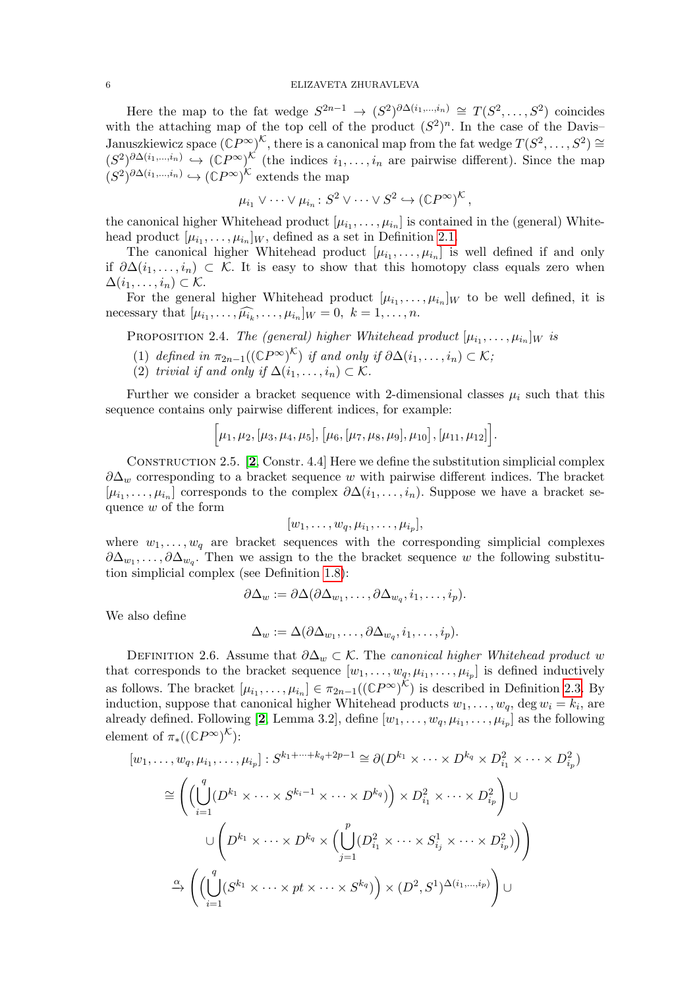Here the map to the fat wedge  $S^{2n-1} \to (S^2)^{\partial \Delta(i_1,\dots,i_n)} \cong T(S^2,\dots,S^2)$  coincides with the attaching map of the top cell of the product  $(S^2)^n$ . In the case of the Davis-Januszkiewicz space  $(\mathbb{C}P^{\infty})^{\mathcal{K}}$ , there is a canonical map from the fat wedge  $T(S^2, \ldots, S^2) \cong$  $(S^2)^{\partial \Delta(i_1,\dots,i_n)} \hookrightarrow (\mathbb{C}P^{\infty})^{\mathcal{K}}$  (the indices  $i_1,\dots,i_n$  are pairwise different). Since the map  $(S^2)^{\partial \Delta(i_1,\dots,i_n)} \hookrightarrow (\mathbb{C}P^{\infty})^{\mathcal{K}}$  extends the map

$$
\mu_{i_1} \vee \cdots \vee \mu_{i_n} \colon S^2 \vee \cdots \vee S^2 \hookrightarrow (\mathbb{C}P^{\infty})^{\mathcal{K}},
$$

the canonical higher Whitehead product  $[\mu_{i_1}, \ldots, \mu_{i_n}]$  is contained in the (general) Whitehead product  $[\mu_{i_1}, \ldots, \mu_{i_n}]_W$ , defined as a set in Definition [2.1.](#page-4-1)

The canonical higher Whitehead product  $[\mu_{i_1}, \ldots, \mu_{i_n}]$  is well defined if and only if  $\partial \Delta(i_1,\ldots,i_n) \subset \mathcal{K}$ . It is easy to show that this homotopy class equals zero when  $\Delta(i_1,\ldots,i_n)\subset\mathcal{K}.$ 

For the general higher Whitehead product  $[\mu_{i_1}, \ldots, \mu_{i_n}]_W$  to be well defined, it is necessary that  $[\mu_{i_1}, \ldots, \widehat{\mu_{i_k}}, \ldots, \mu_{i_n}]_W = 0, \ k = 1, \ldots, n.$ 

PROPOSITION 2.4. The (general) higher Whitehead product  $[\mu_{i_1}, \ldots, \mu_{i_n}]_W$  is

- (1) defined in  $\pi_{2n-1}((\mathbb{C}P^{\infty})^{\mathcal{K}})$  if and only if  $\partial \Delta(i_1,\ldots,i_n) \subset \mathcal{K}$ ;
- (2) trivial if and only if  $\Delta(i_1,\ldots,i_n) \subset \mathcal{K}$ .

Further we consider a bracket sequence with 2-dimensional classes  $\mu_i$  such that this sequence contains only pairwise different indices, for example:

$$
[\mu_1,\mu_2,[\mu_3,\mu_4,\mu_5],[\mu_6,[\mu_7,\mu_8,\mu_9],\mu_{10}],[\mu_{11},\mu_{12}].
$$

Construction 2.5. [[2](#page-21-1), Constr. 4.4] Here we define the substitution simplicial complex  $\partial \Delta_w$  corresponding to a bracket sequence w with pairwise different indices. The bracket  $[\mu_{i_1}, \ldots, \mu_{i_n}]$  corresponds to the complex  $\partial \Delta(i_1, \ldots, i_n)$ . Suppose we have a bracket sequence w of the form

$$
[w_1,\ldots,w_q,\mu_{i_1},\ldots,\mu_{i_p}],
$$

where  $w_1, \ldots, w_q$  are bracket sequences with the corresponding simplicial complexes  $\partial \Delta_{w_1}, \ldots, \partial \Delta_{w_q}$ . Then we assign to the the bracket sequence w the following substitution simplicial complex (see Definition [1.8\)](#page-3-0):

$$
\partial \Delta_w := \partial \Delta(\partial \Delta_{w_1}, \dots, \partial \Delta_{w_q}, i_1, \dots, i_p).
$$

We also define

$$
\Delta_w := \Delta(\partial \Delta_{w_1}, \dots, \partial \Delta_{w_q}, i_1, \dots, i_p).
$$

<span id="page-5-0"></span>DEFINITION 2.6. Assume that  $\partial \Delta_w \subset \mathcal{K}$ . The canonical higher Whitehead product w that corresponds to the bracket sequence  $[w_1, \ldots, w_q, \mu_{i_1}, \ldots, \mu_{i_p}]$  is defined inductively as follows. The bracket  $[\mu_{i_1}, \ldots, \mu_{i_n}] \in \pi_{2n-1}((\mathbb{C}P^{\infty})^{\mathcal{K}})$  is described in Definition [2.3.](#page-4-2) By induction, suppose that canonical higher Whitehead products  $w_1, \ldots, w_q$ , deg  $w_i = k_i$ , are already defined. Following [[2](#page-21-1), Lemma 3.2], define  $[w_1, \ldots, w_q, \mu_{i_1}, \ldots, \mu_{i_p}]$  as the following element of  $\pi_*((\mathbb{C}P^{\infty})^{\mathcal{K}})$ :

$$
[w_1, \ldots, w_q, \mu_{i_1}, \ldots, \mu_{i_p}] : S^{k_1 + \cdots + k_q + 2p - 1} \cong \partial(D^{k_1} \times \cdots \times D^{k_q} \times D_{i_1}^2 \times \cdots \times D_{i_p}^2)
$$
  
\n
$$
\cong \left( \left( \bigcup_{i=1}^q (D^{k_1} \times \cdots \times S^{k_i - 1} \times \cdots \times D^{k_q}) \right) \times D_{i_1}^2 \times \cdots \times D_{i_p}^2 \right) \cup
$$
  
\n
$$
\cup \left( D^{k_1} \times \cdots \times D^{k_q} \times \left( \bigcup_{j=1}^p (D_{i_1}^2 \times \cdots \times S_{i_j}^1 \times \cdots \times D_{i_p}^2) \right) \right)
$$
  
\n
$$
\xrightarrow{\alpha} \left( \left( \bigcup_{i=1}^q (S^{k_1} \times \cdots \times pt \times \cdots \times S^{k_q}) \right) \times (D^2, S^1)^{\Delta(i_1, \ldots, i_p)} \right) \cup
$$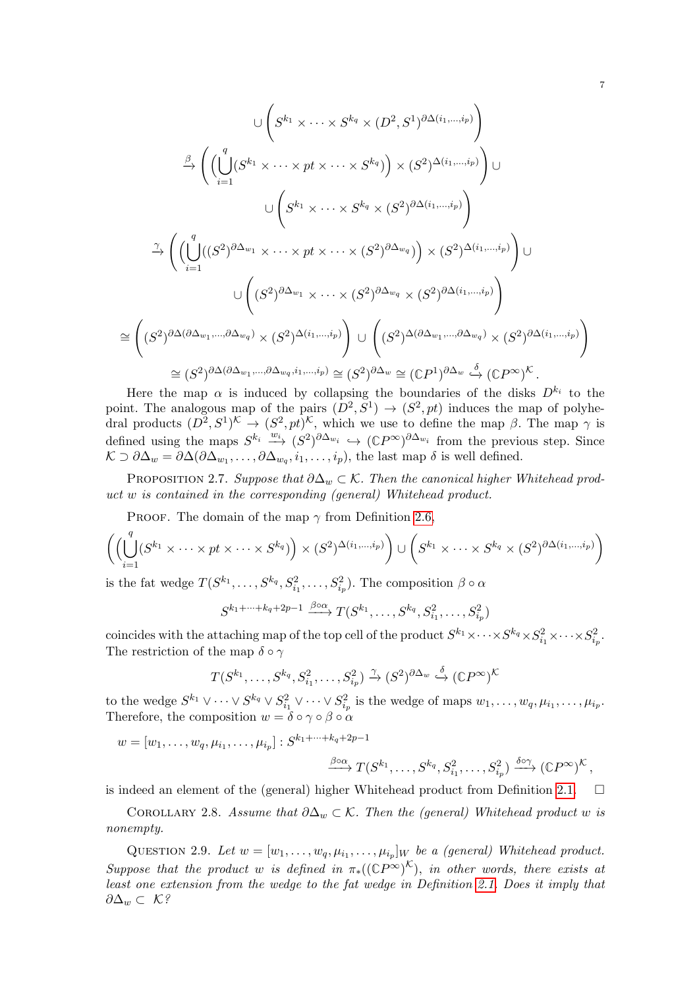$$
\bigcup \left( S^{k_1} \times \cdots \times S^{k_q} \times (D^2, S^1)^{\partial \Delta(i_1, \ldots, i_p)} \right)
$$
\n
$$
\stackrel{\beta}{\rightarrow} \left( \left( \bigcup_{i=1}^q (S^{k_1} \times \cdots \times pt \times \cdots \times S^{k_q}) \right) \times (S^2)^{\Delta(i_1, \ldots, i_p)} \right) \cup
$$
\n
$$
\stackrel{\gamma}{\rightarrow} \left( \left( \bigcup_{i=1}^q ((S^2)^{\partial \Delta_{w_1}} \times \cdots \times pt \times \cdots \times (S^2)^{\partial \Delta_{w_q}}) \right) \times (S^2)^{\Delta(i_1, \ldots, i_p)} \right)
$$
\n
$$
\stackrel{\gamma}{\rightarrow} \left( \left( \bigcup_{i=1}^q ((S^2)^{\partial \Delta_{w_1}} \times \cdots \times pt \times \cdots \times (S^2)^{\partial \Delta_{w_q}}) \right) \times (S^2)^{\Delta(i_1, \ldots, i_p)} \right) \cup
$$
\n
$$
\cong \left( (S^2)^{\partial \Delta(\partial \Delta_{w_1}, \ldots, \partial \Delta_{w_q})} \times (S^2)^{\Delta(i_1, \ldots, i_p)} \right) \cup \left( (S^2)^{\Delta(\partial \Delta_{w_1}, \ldots, \partial \Delta_{w_q})} \times (S^2)^{\partial \Delta(i_1, \ldots, i_p)} \right)
$$
\n
$$
\cong (S^2)^{\partial \Delta(\partial \Delta_{w_1}, \ldots, \partial \Delta_{w_q}, i_1, \ldots, i_p)} \cong (S^2)^{\partial \Delta_{w}} \cong (\mathbb{C}P^1)^{\partial \Delta_{w}} \stackrel{\delta}{\rightarrow} (\mathbb{C}P^{\infty})^{\mathcal{K}}.
$$

Here the map  $\alpha$  is induced by collapsing the boundaries of the disks  $D^{k_i}$  to the point. The analogous map of the pairs  $(D^2, S^1) \rightarrow (S^2, pt)$  induces the map of polyhedral products  $(D^2, S^1)^{\mathcal{K}} \to (S^2, pt)^{\mathcal{K}}$ , which we use to define the map  $\beta$ . The map  $\gamma$  is defined using the maps  $S^{k_i} \xrightarrow{w_i} (S^2)^{\partial \Delta_{w_i}} \hookrightarrow ({{\mathbb C}}P^\infty)^{\partial \Delta_{w_i}}$  from the previous step. Since  $\mathcal{K} \supset \partial \Delta_w = \partial \Delta(\partial \Delta_{w_1}, \ldots, \partial \Delta_{w_q}, i_1, \ldots, i_p)$ , the last map  $\delta$  is well defined.

PROPOSITION 2.7. Suppose that  $\partial \Delta_w \subset \mathcal{K}$ . Then the canonical higher Whitehead product w is contained in the corresponding (general) Whitehead product.

PROOF. The domain of the map  $\gamma$  from Definition [2.6,](#page-5-0)

$$
\left( \left( \bigcup_{i=1}^q (S^{k_1} \times \dots \times pt \times \dots \times S^{k_q}) \right) \times (S^2)^{\Delta(i_1, \dots, i_p)} \right) \cup \left( S^{k_1} \times \dots \times S^{k_q} \times (S^2)^{\partial \Delta(i_1, \dots, i_p)} \right)
$$

is the fat wedge  $T(S^{k_1}, \ldots, S^{k_q}, S_{i_1}^2, \ldots, S_{i_p}^2)$ . The composition  $\beta \circ \alpha$ 

$$
S^{k_1+\cdots+k_q+2p-1} \xrightarrow{\beta \circ \alpha} T(S^{k_1}, \ldots, S^{k_q}, S_{i_1}^2, \ldots, S_{i_p}^2)
$$

coincides with the attaching map of the top cell of the product  $S^{k_1}\times\cdots\times S^{k_q}\times S^2_{i_1}\times\cdots\times S^2_{i_p}.$ The restriction of the map  $\delta \circ \gamma$ 

$$
T(S^{k_1},\ldots,S^{k_q},S_{i_1}^2,\ldots,S_{i_p}^2) \stackrel{\gamma}{\to} (S^2)^{\partial \Delta_w} \stackrel{\delta}{\hookrightarrow} (\mathbb{C}P^{\infty})^{\mathcal{K}}
$$

to the wedge  $S^{k_1} \vee \cdots \vee S^{k_q} \vee S^2_{i_1} \vee \cdots \vee S^2_{i_p}$  is the wedge of maps  $w_1, \ldots, w_q, \mu_{i_1}, \ldots, \mu_{i_p}$ . Therefore, the composition  $w = \delta \circ \gamma \circ \beta \circ \alpha$ 

$$
w = [w_1, \ldots, w_q, \mu_{i_1}, \ldots, \mu_{i_p}] : S^{k_1 + \cdots + k_q + 2p - 1}
$$

$$
\xrightarrow{\beta \circ \alpha} T(S^{k_1}, \ldots, S^{k_q}, S_{i_1}^2, \ldots, S_{i_p}^2) \xrightarrow{\delta \circ \gamma} (\mathbb{C}P^{\infty})^{\mathcal{K}},
$$

is indeed an element of the (general) higher Whitehead product from Definition [2.1.](#page-4-1)  $\Box$ 

COROLLARY 2.8. Assume that  $\partial \Delta_w \subset \mathcal{K}$ . Then the (general) Whitehead product w is nonempty.

QUESTION 2.9. Let  $w = [w_1, \ldots, w_q, \mu_{i_1}, \ldots, \mu_{i_p}]_W$  be a (general) Whitehead product. Suppose that the product w is defined in  $\pi_*((\mathbb{C}P^{\infty})^{\mathcal{K}})$ , in other words, there exists at least one extension from the wedge to the fat wedge in Definition [2.1.](#page-4-1) Does it imply that  $\partial \Delta_w \subset \mathcal{K}$ ?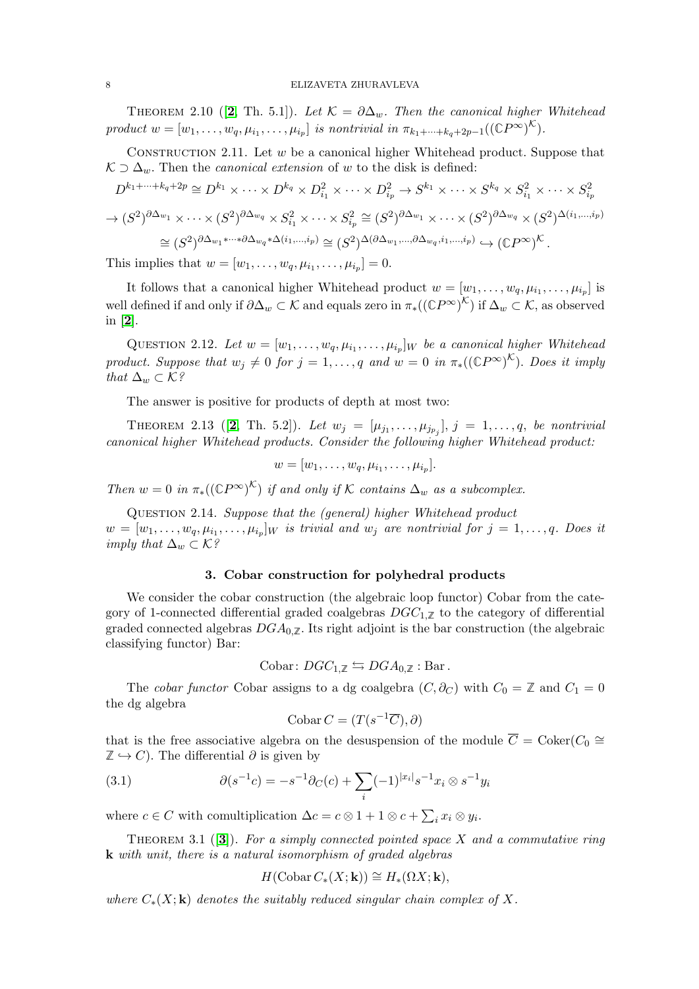THEOREM [2](#page-21-1).10 ([2, Th. 5.1]). Let  $\mathcal{K} = \partial \Delta_w$ . Then the canonical higher Whitehead product  $w = [w_1, \ldots, w_q, \mu_{i_1}, \ldots, \mu_{i_p}]$  is nontrivial in  $\pi_{k_1 + \cdots + k_q + 2p-1}((\mathbb{C}P^{\infty})^{\mathcal{K}})$ .

CONSTRUCTION 2.11. Let  $w$  be a canonical higher Whitehead product. Suppose that  $K \supset \Delta_w$ . Then the *canonical extension* of w to the disk is defined:

$$
D^{k_1+\dots+k_q+2p} \cong D^{k_1} \times \dots \times D^{k_q} \times D_{i_1}^2 \times \dots \times D_{i_p}^2 \to S^{k_1} \times \dots \times S^{k_q} \times S_{i_1}^2 \times \dots \times S_{i_p}^2
$$
  

$$
\to (S^2)^{\partial \Delta_{w_1}} \times \dots \times (S^2)^{\partial \Delta_{w_q}} \times S_{i_1}^2 \times \dots \times S_{i_p}^2 \cong (S^2)^{\partial \Delta_{w_1}} \times \dots \times (S^2)^{\partial \Delta_{w_q}} \times (S^2)^{\Delta(i_1,\dots,i_p)}
$$
  

$$
\cong (S^2)^{\partial \Delta_{w_1} \times \dots \times \partial \Delta_{w_q} \times \Delta(i_1,\dots,i_p)} \cong (S^2)^{\Delta(\partial \Delta_{w_1},\dots,\partial \Delta_{w_q},i_1,\dots,i_p)} \hookrightarrow (\mathbb{C}P^{\infty})^{\mathcal{K}}.
$$

This implies that  $w = [w_1, ..., w_q, \mu_{i_1}, ..., \mu_{i_p}] = 0.$ 

It follows that a canonical higher Whitehead product  $w = [w_1, \ldots, w_q, \mu_{i_1}, \ldots, \mu_{i_p}]$  is well defined if and only if  $\partial \Delta_w \subset \mathcal{K}$  and equals zero in  $\pi_*((\mathbb{C}P^\infty)^{\mathcal{K}})$  if  $\Delta_w \subset \mathcal{K}$ , as observed in [[2](#page-21-1)].

QUESTION 2.12. Let  $w = [w_1, \ldots, w_q, \mu_{i_1}, \ldots, \mu_{i_p}]_W$  be a canonical higher Whitehead product. Suppose that  $w_j \neq 0$  for  $j = 1, \ldots, q$  and  $w = 0$  in  $\pi_*((\mathbb{C}P^{\infty})^{\mathcal{K}})$ . Does it imply that  $\Delta_w \subset \mathcal{K}$ ?

The answer is positive for products of depth at most two:

THEOREM [2](#page-21-1).13 ([2, Th. 5.2]). Let  $w_j = [\mu_{j_1}, ..., \mu_{j_{p_j}}], j = 1, ..., q$ , be nontrivial canonical higher Whitehead products. Consider the following higher Whitehead product:

$$
w=[w_1,\ldots,w_q,\mu_{i_1},\ldots,\mu_{i_p}].
$$

Then  $w = 0$  in  $\pi_*((\mathbb{C}P^{\infty})^{\mathcal{K}})$  if and only if K contains  $\Delta_w$  as a subcomplex.

Question 2.14. Suppose that the (general) higher Whitehead product  $w = [w_1, \ldots, w_q, \mu_{i_1}, \ldots, \mu_{i_p}]_W$  is trivial and  $w_j$  are nontrivial for  $j = 1, \ldots, q$ . Does it imply that  $\Delta_w \subset \mathcal{K}^g$ 

# 3. Cobar construction for polyhedral products

<span id="page-7-0"></span>We consider the cobar construction (the algebraic loop functor) Cobar from the category of 1-connected differential graded coalgebras  $DGC_{1,\mathbb{Z}}$  to the category of differential graded connected algebras  $DGA_{0,\mathbb{Z}}$ . Its right adjoint is the bar construction (the algebraic classifying functor) Bar:

Cobar: 
$$
DGC_{1,\mathbb{Z}} \leftrightarrows DGA_{0,\mathbb{Z}}
$$
: Bar.

The *cobar functor* Cobar assigns to a dg coalgebra  $(C, \partial_C)$  with  $C_0 = \mathbb{Z}$  and  $C_1 = 0$ the dg algebra

<span id="page-7-1"></span>
$$
Cobar C = (T(s^{-1}\overline{C}), \partial)
$$

that is the free associative algebra on the desuspension of the module  $\overline{C} = \text{Coker}(C_0 \cong \overline{C})$  $\mathbb{Z} \hookrightarrow C$ ). The differential  $\partial$  is given by

(3.1) 
$$
\partial(s^{-1}c) = -s^{-1}\partial_C(c) + \sum_i (-1)^{|x_i|} s^{-1} x_i \otimes s^{-1} y_i
$$

where  $c \in C$  with comultiplication  $\Delta c = c \otimes 1 + 1 \otimes c + \sum_i x_i \otimes y_i$ .

THEOREM [3](#page-21-3).1 ([3]). For a simply connected pointed space X and a commutative ring k with unit, there is a natural isomorphism of graded algebras

$$
H(\mathrm{Cobar}\, C_*(X;\mathbf{k})) \cong H_*(\Omega X;\mathbf{k}),
$$

where  $C_*(X; \mathbf{k})$  denotes the suitably reduced singular chain complex of X.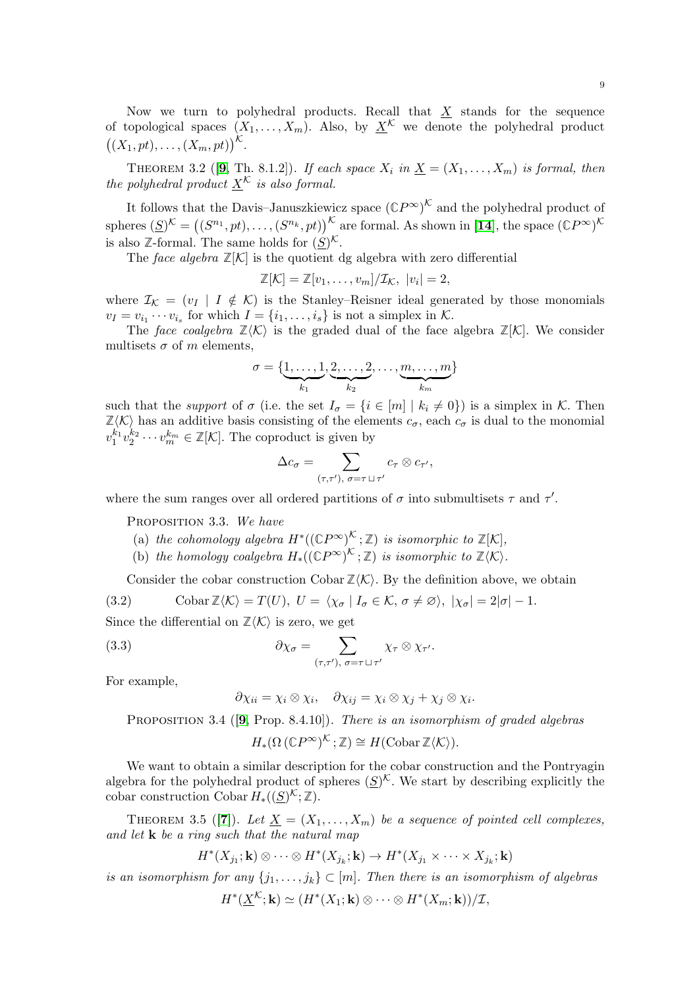Now we turn to polyhedral products. Recall that  $\underline{X}$  stands for the sequence of topological spaces  $(X_1, \ldots, X_m)$ . Also, by  $X^{\mathcal{K}}$  we denote the polyhedral product  $((X_1, pt), \ldots, (X_m, pt))^{\mathcal{K}}$ .

THEOREM 3.2 ([[9](#page-22-0), Th. 8.1.2]). If each space  $X_i$  in  $\underline{X} = (X_1, \ldots, X_m)$  is formal, then the polyhedral product  $\underline{X}^{\mathcal{K}}$  is also formal.

It follows that the Davis–Januszkiewicz space  $({\mathbb{C}}P^{\infty})^{\mathcal{K}}$  and the polyhedral product of spheres  $(\underline{S})^{\mathcal{K}} = ((S^{n_1}, pt), \ldots, (S^{n_k}, pt))^{\mathcal{K}}$  are formal. As shown in [[14](#page-22-9)], the space  $({\mathbb{C}}P^{\infty})^{\mathcal{K}}$ is also  $\mathbb{Z}$ -formal. The same holds for  $(\underline{S})^{\mathcal{K}}$ .

The face algebra  $\mathbb{Z}[\mathcal{K}]$  is the quotient dg algebra with zero differential

$$
\mathbb{Z}[\mathcal{K}] = \mathbb{Z}[v_1,\ldots,v_m]/\mathcal{I}_{\mathcal{K}}, |v_i|=2,
$$

where  $\mathcal{I}_{\mathcal{K}} = (v_I \mid I \notin \mathcal{K})$  is the Stanley–Reisner ideal generated by those monomials  $v_I = v_{i_1} \cdots v_{i_s}$  for which  $I = \{i_1, \ldots, i_s\}$  is not a simplex in K.

The face coalgebra  $\mathbb{Z}\langle K \rangle$  is the graded dual of the face algebra  $\mathbb{Z}[\mathcal{K}]$ . We consider multisets  $\sigma$  of m elements.

$$
\sigma = \{\underbrace{1,\ldots,1}_{k_1},\underbrace{2,\ldots,2}_{k_2},\ldots,\underbrace{m,\ldots,m}_{k_m}\}
$$

such that the *support* of  $\sigma$  (i.e. the set  $I_{\sigma} = \{i \in [m] \mid k_i \neq 0\}$ ) is a simplex in K. Then  $\mathbb{Z}\langle K\rangle$  has an additive basis consisting of the elements  $c_{\sigma}$ , each  $c_{\sigma}$  is dual to the monomial  $v_1^{k_1}v_2^{k_2}\cdots v_m^{k_m}\in \mathbb{Z}[\mathcal{K}].$  The coproduct is given by

$$
\Delta c_{\sigma} = \sum_{(\tau,\tau'),\ \sigma = \tau \sqcup \tau'} c_{\tau} \otimes c_{\tau'},
$$

where the sum ranges over all ordered partitions of  $\sigma$  into submultisets  $\tau$  and  $\tau'$ .

PROPOSITION 3.3. We have

- (a) the cohomology algebra  $H^*((\mathbb{C}P^{\infty})^{\mathcal{K}};\mathbb{Z})$  is isomorphic to  $\mathbb{Z}[\mathcal{K}],$
- (b) the homology coalgebra  $H_*((\mathbb{C}P^{\infty})^{\mathcal{K}};\mathbb{Z})$  is isomorphic to  $\mathbb{Z}\langle\mathcal{K}\rangle$ .

<span id="page-8-1"></span>Consider the cobar construction Cobar  $\mathbb{Z}\langle K \rangle$ . By the definition above, we obtain

(3.2) 
$$
\text{Cobar}\,\mathbb{Z}\langle\mathcal{K}\rangle = T(U),\ U = \langle\chi_{\sigma} \mid I_{\sigma} \in \mathcal{K}, \sigma \neq \varnothing\rangle, \ |\chi_{\sigma}| = 2|\sigma| - 1.
$$

Since the differential on  $\mathbb{Z}\langle K \rangle$  is zero, we get

(3.3) 
$$
\partial \chi_{\sigma} = \sum_{(\tau,\tau'), \sigma = \tau \sqcup \tau'} \chi_{\tau} \otimes \chi_{\tau'}.
$$

For example,

<span id="page-8-0"></span>
$$
\partial \chi_{ii} = \chi_i \otimes \chi_i, \quad \partial \chi_{ij} = \chi_i \otimes \chi_j + \chi_j \otimes \chi_i.
$$

PROPOSITION 3.4 ( $[9,$  $[9,$  $[9,$  Prop. 8.4.10]). There is an isomorphism of graded algebras

$$
H_*(\Omega\left(\mathbb{C}P^\infty\right)^{\mathcal{K}};\mathbb{Z})\cong H(\mathrm{Cobar}\,\mathbb{Z}\langle\mathcal{K}\rangle).
$$

We want to obtain a similar description for the cobar construction and the Pontryagin algebra for the polyhedral product of spheres  $(S)^{\mathcal{K}}$ . We start by describing explicitly the cobar construction Cobar  $H_*((\underline{S})^{\mathcal{K}};\mathbb{Z})$ .

THEOREM 3.5 ([[7](#page-22-10)]). Let  $\underline{X} = (X_1, \ldots, X_m)$  be a sequence of pointed cell complexes, and let  $\bf k$  be a ring such that the natural map

$$
H^*(X_{j_1};{\bf k})\otimes\cdots\otimes H^*(X_{j_k};{\bf k})\to H^*(X_{j_1}\times\cdots\times X_{j_k};{\bf k})
$$

is an isomorphism for any  $\{j_1, \ldots, j_k\} \subset [m]$ . Then there is an isomorphism of algebras

$$
H^*(\underline{X}^{\mathcal{K}}; \mathbf{k}) \simeq (H^*(X_1; \mathbf{k}) \otimes \cdots \otimes H^*(X_m; \mathbf{k}))/\mathcal{I},
$$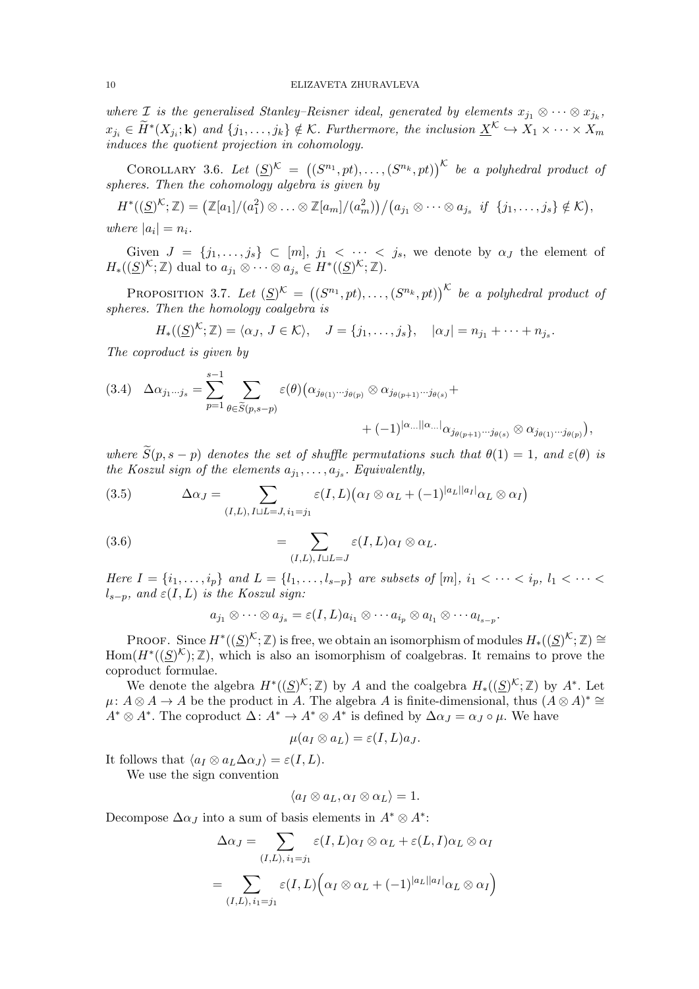where I is the generalised Stanley-Reisner ideal, generated by elements  $x_{j_1} \otimes \cdots \otimes x_{j_k}$ ,  $x_{j_i} \in \widetilde{H}^*(X_{j_i}; \mathbf{k})$  and  $\{j_1, \ldots, j_k\} \notin \mathcal{K}$ . Furthermore, the inclusion  $\underline{X}^{\mathcal{K}} \hookrightarrow X_1 \times \cdots \times X_m$ induces the quotient projection in cohomology.

COROLLARY 3.6. Let  $(S^{\infty})^{\mathcal{K}} = ((S^{n_1}, pt), \ldots, (S^{n_k}, pt))^{\mathcal{K}}$  be a polyhedral product of spheres. Then the cohomology algebra is given by

 $H^*((\underline{S})^{\mathcal{K}};\mathbb{Z})=\big(\mathbb{Z}[a_1]/(a_1^2)\otimes\ldots\otimes\mathbb{Z}[a_m]/(a_m^2)\big)\big/\big(a_{j_1}\otimes\cdots\otimes a_{j_s}\,\,\,if\,\,\{j_1,\ldots,j_s\}\notin\mathcal{K}\big),$ where  $|a_i|=n_i$ .

Given  $J = \{j_1, \ldots, j_s\} \subset [m], j_1 < \cdots < j_s$ , we denote by  $\alpha_J$  the element of  $H_*((\underline{S})^{\mathcal{K}};\mathbb{Z})$  dual to  $a_{j_1} \otimes \cdots \otimes a_{j_s} \in H^*((\underline{S})^{\mathcal{K}};\mathbb{Z}).$ 

**PROPOSITION** 3.7. Let  $(\mathcal{S})^{\mathcal{K}} = ((S^{n_1}, pt), \ldots, (S^{n_k}, pt))^{\mathcal{K}}$  be a polyhedral product of spheres. Then the homology coalgebra is

$$
H_*((\underline{S})^{\mathcal{K}};\mathbb{Z})=\langle \alpha_J,\,J\in\mathcal{K}\rangle,\quad J=\{j_1,\ldots,j_s\},\quad |\alpha_J|=n_{j_1}+\cdots+n_{j_s}.
$$

The coproduct is given by

<span id="page-9-2"></span>
$$
(3.4) \quad \Delta \alpha_{j_1 \cdots j_s} = \sum_{p=1}^{s-1} \sum_{\theta \in \widetilde{S}(p,s-p)} \varepsilon(\theta) \big( \alpha_{j_{\theta(1)} \cdots j_{\theta(p)}} \otimes \alpha_{j_{\theta(p+1)} \cdots j_{\theta(s)}} + \\ + (-1)^{|\alpha \dots ||\alpha \dots |} \alpha_{j_{\theta(p+1)} \cdots j_{\theta(s)}} \otimes \alpha_{j_{\theta(1)} \cdots j_{\theta(p)}} \big),
$$

where  $\widetilde{S}(p, s-p)$  denotes the set of shuffle permutations such that  $\theta(1) = 1$ , and  $\varepsilon(\theta)$  is the Koszul sign of the elements  $a_{j_1}, \ldots, a_{j_s}$ . Equivalently,

<span id="page-9-0"></span>(3.5) 
$$
\Delta \alpha_J = \sum_{(I,L), I \sqcup L = J, i_1 = j_1} \varepsilon(I, L) (\alpha_I \otimes \alpha_L + (-1)^{|a_L||a_I|} \alpha_L \otimes \alpha_I)
$$

(3.6) 
$$
= \sum_{(I,L), I \sqcup L = J} \varepsilon(I, L) \alpha_I \otimes \alpha_L.
$$

Here  $I = \{i_1, \ldots, i_p\}$  and  $L = \{l_1, \ldots, l_{s-p}\}$  are subsets of  $[m], i_1 < \cdots < i_p, l_1 < \cdots < i_p$  $l_{s-p}$ , and  $\varepsilon(I, L)$  is the Koszul sign:

<span id="page-9-1"></span>
$$
a_{j_1} \otimes \cdots \otimes a_{j_s} = \varepsilon(I, L) a_{i_1} \otimes \cdots a_{i_p} \otimes a_{l_1} \otimes \cdots a_{l_{s-p}}.
$$

PROOF. Since  $H^*((\underline{S})^{\mathcal{K}};\mathbb{Z})$  is free, we obtain an isomorphism of modules  $H^*((\underline{S})^{\mathcal{K}};\mathbb{Z}) \cong$ Hom $(H^*(S)^{\mathcal{K}}); \mathbb{Z})$ , which is also an isomorphism of coalgebras. It remains to prove the coproduct formulae.

We denote the algebra  $H^*((\underline{S})^{\mathcal{K}};\mathbb{Z})$  by A and the coalgebra  $H^*((\underline{S})^{\mathcal{K}};\mathbb{Z})$  by  $A^*$ . Let  $\mu: A \otimes A \to A$  be the product in A. The algebra A is finite-dimensional, thus  $(A \otimes A)^* \cong$  $A^* \otimes A^*$ . The coproduct  $\Delta: A^* \to A^* \otimes A^*$  is defined by  $\Delta \alpha_J = \alpha_J \circ \mu$ . We have

$$
\mu(a_I \otimes a_L) = \varepsilon(I, L)a_J.
$$

It follows that  $\langle a_I \otimes a_L \Delta a_J \rangle = \varepsilon(I, L)$ . We use the sign convention

$$
\langle a_I \otimes a_L, \alpha_I \otimes \alpha_L \rangle = 1.
$$

Decompose  $\Delta \alpha_J$  into a sum of basis elements in  $A^* \otimes A^*$ :

$$
\Delta \alpha_J = \sum_{(I,L), i_1=j_1} \varepsilon(I, L) \alpha_I \otimes \alpha_L + \varepsilon(L, I) \alpha_L \otimes \alpha_I
$$

$$
= \sum_{(I,L), i_1=j_1} \varepsilon(I, L) \Big( \alpha_I \otimes \alpha_L + (-1)^{|a_L||a_I|} \alpha_L \otimes \alpha_I \Big)
$$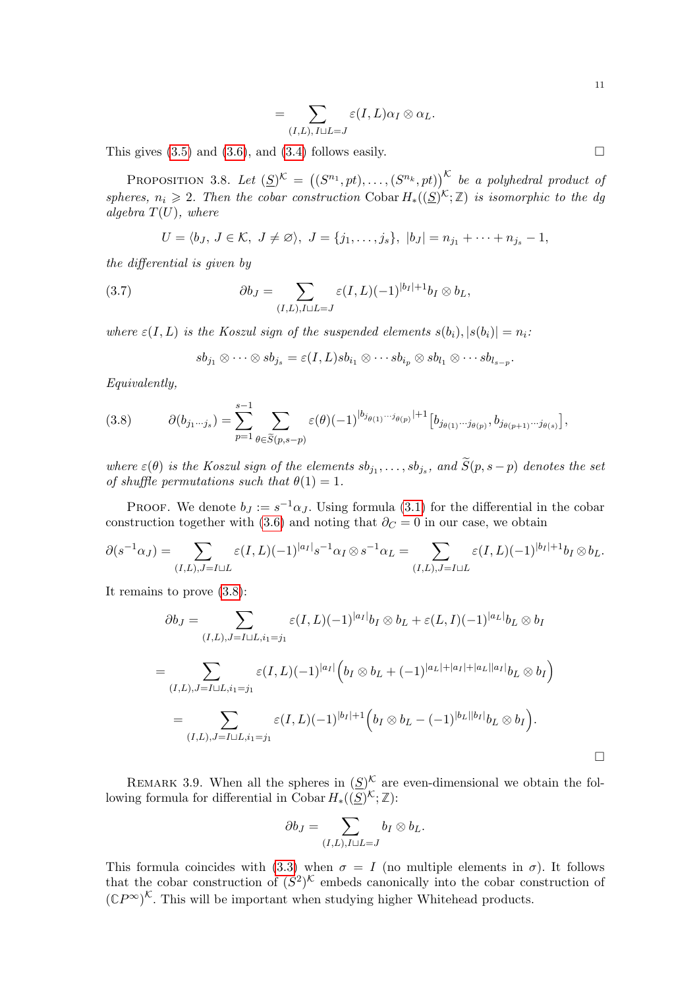$$
=\sum_{(I,L),\,I\sqcup L=J}\varepsilon(I,L)\alpha_I\otimes\alpha_L.
$$

This gives  $(3.5)$  and  $(3.6)$ , and  $(3.4)$  follows easily.

<span id="page-10-0"></span>PROPOSITION 3.8. Let  $(\mathcal{S})^{\mathcal{K}} = ((S^{n_1}, pt), \ldots, (S^{n_k}, pt))^{\mathcal{K}}$  be a polyhedral product of spheres,  $n_i \geq 2$ . Then the cobar construction Cobar  $H_*((S)^{\mathcal{K}};\mathbb{Z})$  is isomorphic to the dg algebra  $T(U)$ , where

$$
U = \langle b_J, J \in \mathcal{K}, J \neq \emptyset \rangle, J = \{j_1, \ldots, j_s\}, |b_J| = n_{j_1} + \cdots + n_{j_s} - 1,
$$

the differential is given by

(3.7) 
$$
\partial b_J = \sum_{(I,L),I\sqcup L=J} \varepsilon(I,L)(-1)^{|b_I|+1}b_I \otimes b_L,
$$

where  $\varepsilon(I, L)$  is the Koszul sign of the suspended elements  $s(b_i), |s(b_i)| = n_i$ :

$$
sb_{j_1}\otimes\cdots\otimes sb_{j_s}=\varepsilon(I,L)sb_{i_1}\otimes\cdots sb_{i_p}\otimes sb_{l_1}\otimes\cdots sb_{l_{s-p}}.
$$

Equivalently,

<span id="page-10-1"></span>(3.8) 
$$
\partial(b_{j_1\cdots j_s}) = \sum_{p=1}^{s-1} \sum_{\theta \in \widetilde{S}(p,s-p)} \varepsilon(\theta) (-1)^{|b_{j_{\theta(1)}}\cdots b_{j_{\theta(p)}}|+1} [b_{j_{\theta(1)}\cdots j_{\theta(p)}}, b_{j_{\theta(p+1)}\cdots j_{\theta(s)}}],
$$

where  $\varepsilon(\theta)$  is the Koszul sign of the elements  $sb_{j_1}, \ldots, sb_{j_s}$ , and  $S(p, s-p)$  denotes the set of shuffle permutations such that  $\theta(1) = 1$ .

PROOF. We denote  $b_J := s^{-1} \alpha_J$ . Using formula [\(3.1\)](#page-7-1) for the differential in the cobar construction together with [\(3.6\)](#page-9-1) and noting that  $\partial_C = 0$  in our case, we obtain

$$
\partial(s^{-1}\alpha_J) = \sum_{(I,L),J=I\sqcup L} \varepsilon(I,L)(-1)^{|a_I|} s^{-1} \alpha_I \otimes s^{-1} \alpha_L = \sum_{(I,L),J=I\sqcup L} \varepsilon(I,L)(-1)^{|b_I|+1} b_I \otimes b_L.
$$

It remains to prove [\(3.8\)](#page-10-1):

$$
\partial b_J = \sum_{(I,L),J=I\sqcup L,i_1=j_1} \varepsilon(I,L)(-1)^{|a_I|} b_I \otimes b_L + \varepsilon(L,I)(-1)^{|a_L|} b_L \otimes b_I
$$
  
= 
$$
\sum_{(I,L),J=I\sqcup L,i_1=j_1} \varepsilon(I,L)(-1)^{|a_I|} \Big(b_I \otimes b_L + (-1)^{|a_L|+|a_I|+|a_L||a_I|} b_L \otimes b_I\Big)
$$
  
= 
$$
\sum_{(I,L),J=I\sqcup L,i_1=j_1} \varepsilon(I,L)(-1)^{|b_I|+1} \Big(b_I \otimes b_L - (-1)^{|b_L||b_I|} b_L \otimes b_I\Big).
$$

REMARK 3.9. When all the spheres in  $(\underline{S})^{\mathcal{K}}$  are even-dimensional we obtain the following formula for differential in Cobar  $H_*((\underline{S})^{\mathcal{K}};\mathbb{Z})$ :

$$
\partial b_J = \sum_{(I,L),I\sqcup L=J} b_I \otimes b_L.
$$

This formula coincides with [\(3.3\)](#page-8-0) when  $\sigma = I$  (no multiple elements in  $\sigma$ ). It follows that the cobar construction of  $(S^2)^{\mathcal{K}}$  embeds canonically into the cobar construction of  $({\mathbb{C}}P^{\infty})^{\mathcal{K}}$ . This will be important when studying higher Whitehead products.

11

 $\Box$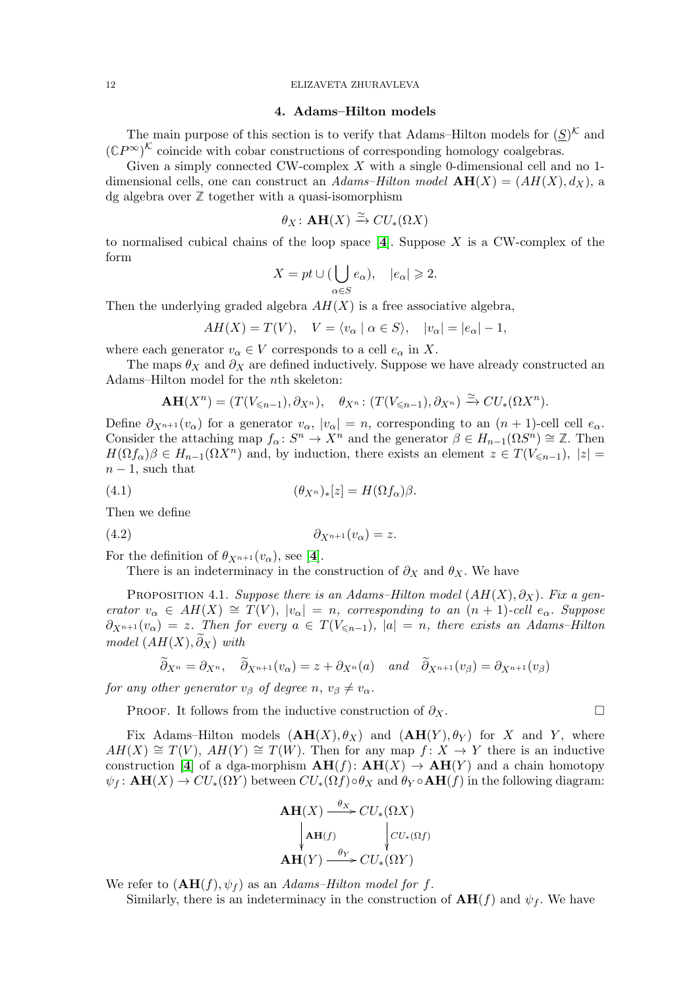#### 12 ELIZAVETA ZHURAVLEVA

## 4. Adams–Hilton models

<span id="page-11-0"></span>The main purpose of this section is to verify that Adams–Hilton models for  $(S)^{\mathcal{K}}$  and  $({\mathbb{C}}P^{\infty})^{\mathcal{K}}$  coincide with cobar constructions of corresponding homology coalgebras.

Given a simply connected CW-complex  $X$  with a single 0-dimensional cell and no 1dimensional cells, one can construct an Adams–Hilton model  $\mathbf{AH}(X) = (AH(X), d_X)$ , a dg algebra over **Z** together with a quasi-isomorphism

$$
\theta_X\colon \mathbf{AH}(X) \xrightarrow{\simeq} CU_*(\Omega X)
$$

to normalised cubical chains of the loop space  $[4]$  $[4]$  $[4]$ . Suppose X is a CW-complex of the form

$$
X = pt \cup (\bigcup_{\alpha \in S} e_{\alpha}), \quad |e_{\alpha}| \geqslant 2.
$$

Then the underlying graded algebra  $AH(X)$  is a free associative algebra,

$$
AH(X) = T(V), \quad V = \langle v_{\alpha} \mid \alpha \in S \rangle, \quad |v_{\alpha}| = |e_{\alpha}| - 1,
$$

where each generator  $v_{\alpha} \in V$  corresponds to a cell  $e_{\alpha}$  in X.

The maps  $\theta_X$  and  $\partial_X$  are defined inductively. Suppose we have already constructed an Adams–Hilton model for the nth skeleton:

$$
\mathbf{AH}(X^n)=(T(V_{\leq n-1}),\partial_{X^n}),\quad \theta_{X^n}:(T(V_{\leq n-1}),\partial_{X^n})\xrightarrow{\simeq} CU_*(\Omega X^n).
$$

Define  $\partial_{X^{n+1}}(v_\alpha)$  for a generator  $v_\alpha$ ,  $|v_\alpha| = n$ , corresponding to an  $(n+1)$ -cell cell  $e_\alpha$ . Consider the attaching map  $f_{\alpha}: S^n \to X^n$  and the generator  $\beta \in H_{n-1}(\Omega S^n) \cong \mathbb{Z}$ . Then  $H(\Omega f_{\alpha})\beta \in H_{n-1}(\Omega X^n)$  and, by induction, there exists an element  $z \in T(V_{\leq n-1}), |z| =$  $n-1$ , such that

$$
(4.1) \qquad \qquad (\theta_{X^n})_*[z] = H(\Omega f_\alpha)\beta.
$$

Then we define

$$
(4.2) \t\t \t\t \partial_{X^{n+1}}(v_{\alpha}) = z.
$$

For the definition of  $\theta_{X^{n+1}}(v_\alpha)$ , see [[4](#page-21-4)].

<span id="page-11-2"></span>There is an indeterminacy in the construction of  $\partial_X$  and  $\theta_X$ . We have

<span id="page-11-1"></span>PROPOSITION 4.1. Suppose there is an Adams–Hilton model  $(AH(X), \partial_X)$ . Fix a generator  $v_{\alpha} \in AH(X) \cong T(V)$ ,  $|v_{\alpha}| = n$ , corresponding to an  $(n + 1)$ -cell  $e_{\alpha}$ . Suppose  $\partial_{X^{n+1}}(v_\alpha) = z$ . Then for every  $a \in T(V_{\leq n-1}), |a| = n$ , there exists an Adams–Hilton model  $(AH(X), \partial_X)$  with

$$
\partial_{X^n} = \partial_{X^n}, \quad \partial_{X^{n+1}}(v_\alpha) = z + \partial_{X^n}(a) \quad \text{and} \quad \partial_{X^{n+1}}(v_\beta) = \partial_{X^{n+1}}(v_\beta)
$$

for any other generator  $v_{\beta}$  of degree n,  $v_{\beta} \neq v_{\alpha}$ .

PROOF. It follows from the inductive construction of  $\partial_X$ .

Fix Adams–Hilton models  $(AH(X), \theta_X)$  and  $(AH(Y), \theta_Y)$  for X and Y, where  $AH(X) \cong T(V)$ ,  $AH(Y) \cong T(W)$ . Then for any map  $f: X \to Y$  there is an inductive construction [[4](#page-21-4)] of a dga-morphism  $AH(f): AH(X) \rightarrow AH(Y)$  and a chain homotopy  $\psi_f$ :  $\mathbf{AH}(X) \to CU_*(\Omega Y)$  between  $CU_*(\Omega f) \circ \theta_X$  and  $\theta_Y \circ \mathbf{AH}(f)$  in the following diagram:

$$
\mathbf{AH}(X) \xrightarrow{\theta_X} CU_*(\Omega X)
$$
  
\n
$$
\downarrow \mathbf{AH}(f) \qquad \qquad \downarrow CU_*(\Omega f)
$$
  
\n
$$
\mathbf{AH}(Y) \xrightarrow{\theta_Y} CU_*(\Omega Y)
$$

We refer to  $(AH(f), \psi_f)$  as an Adams–Hilton model for f.

Similarly, there is an indeterminacy in the construction of  $\mathbf{AH}(f)$  and  $\psi_f$ . We have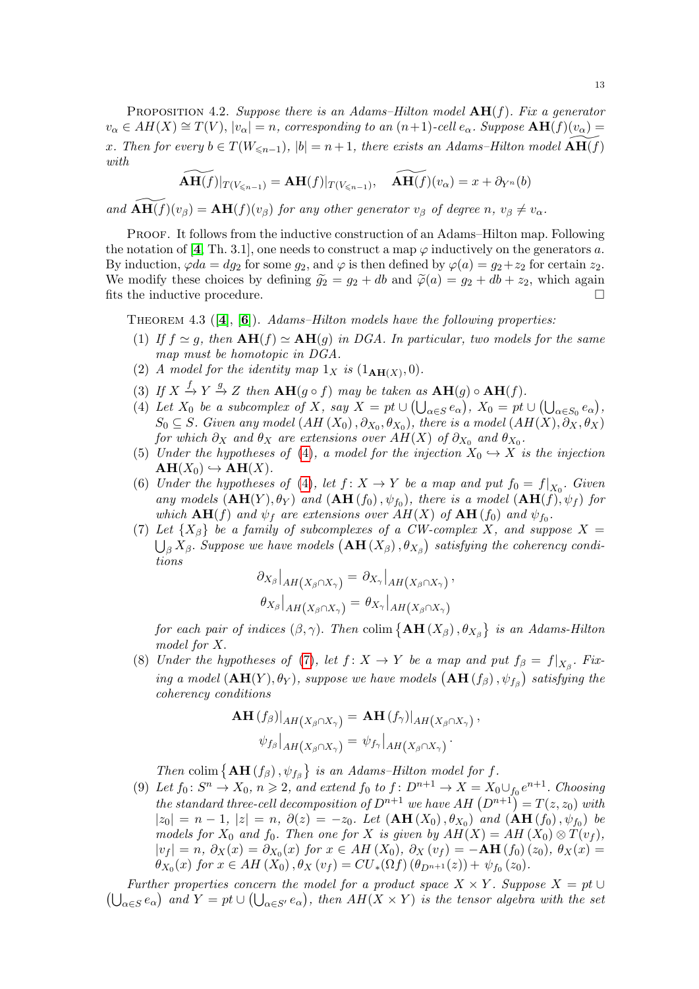<span id="page-12-6"></span>PROPOSITION 4.2. Suppose there is an Adams–Hilton model  $AH(f)$ . Fix a generator  $v_{\alpha} \in AH(X) \cong T(V), |v_{\alpha}| = n$ , corresponding to an  $(n+1)$ -cell  $e_{\alpha}$ . Suppose  $\mathbf{AH}(f)(v_{\alpha}) =$ x. Then for every  $b \in T(W_{\leq n-1}), |b| = n+1$ , there exists an Adams–Hilton model  $AH(f)$ with

$$
\widetilde{\mathbf{AH}(f)}|_{T(V_{\leq n-1})} = \mathbf{AH}(f)|_{T(V_{\leq n-1})}, \quad \widetilde{\mathbf{AH}(f)}(v_{\alpha}) = x + \partial_{Y^n}(b)
$$

and  $\mathbf{AH}(f)(v_{\beta}) = \mathbf{AH}(f)(v_{\beta})$  for any other generator  $v_{\beta}$  of degree n,  $v_{\beta} \neq v_{\alpha}$ .

Proof. It follows from the inductive construction of an Adams–Hilton map. Following the notation of [[4](#page-21-4), Th. 3.1], one needs to construct a map  $\varphi$  inductively on the generators a. By induction,  $\varphi da = dg_2$  for some  $g_2$ , and  $\varphi$  is then defined by  $\varphi(a) = g_2 + z_2$  for certain  $z_2$ . We modify these choices by defining  $\tilde{g}_2 = g_2 + db$  and  $\tilde{\varphi}(a) = g_2 + db + z_2$ , which again fits the inductive procedure. fits the inductive procedure.

<span id="page-12-4"></span><span id="page-12-2"></span>THEOREM [4](#page-21-4).3  $([4], [6])$  $([4], [6])$  $([4], [6])$ . Adams–Hilton models have the following properties:

- (1) If  $f \simeq g$ , then  $AH(f) \simeq AH(g)$  in DGA. In particular, two models for the same map must be homotopic in DGA.
- (2) A model for the identity map  $1_X$  is  $(1_{AH(X)},0)$ .
- <span id="page-12-8"></span>(3) If  $X \xrightarrow{f} Y \xrightarrow{g} Z$  then  $\mathbf{AH}(g \circ f)$  may be taken as  $\mathbf{AH}(g) \circ \mathbf{AH}(f)$ .
- <span id="page-12-0"></span>(4) Let  $X_0$  be a subcomplex of X, say  $X = pt \cup (\bigcup_{\alpha \in S} e_{\alpha})$ ,  $X_0 = pt \cup (\bigcup_{\alpha \in S_0} e_{\alpha})$ ,  $S_0 \subseteq S$ . Given any model  $(AH(X_0), \partial_{X_0}, \theta_{X_0})$ , there is a model  $(AH(X), \partial_X, \theta_X)$ for which  $\partial_X$  and  $\theta_X$  are extensions over  $AH(X)$  of  $\partial_{X_0}$  and  $\theta_{X_0}.$
- <span id="page-12-5"></span>(5) Under the hypotheses of [\(4\)](#page-12-0), a model for the injection  $X_0 \hookrightarrow X$  is the injection  $AH(X_0) \hookrightarrow AH(X)$ .
- <span id="page-12-3"></span>(6) Under the hypotheses of [\(4\)](#page-12-0), let  $f: X \to Y$  be a map and put  $f_0 = f|_{X_0}$ . Given any models  $(AH(Y), \theta_Y)$  and  $(AH(f_0), \psi_{f_0})$ , there is a model  $(AH(f), \psi_f)$  for which  $\mathbf{AH}(f)$  and  $\psi_f$  are extensions over  $AH(X)$  of  $\mathbf{AH}(f_0)$  and  $\psi_{f_0}$ .
- <span id="page-12-1"></span>(7) Let  $\{X_\beta\}$  be a family of subcomplexes of a CW-complex X, and suppose  $X =$  $\bigcup_{\beta} X_{\beta}$ . Suppose we have models  $\big(\mathbf{AH}\,(X_{\beta})\,, \theta_{X_{\beta}}\big)$  satisfying the coherency conditions

$$
\frac{\partial_{X_{\beta}}|_{AH(X_{\beta}\cap X_{\gamma})} = \partial_{X_{\gamma}}|_{AH(X_{\beta}\cap X_{\gamma})},
$$

$$
\theta_{X_{\beta}}|_{AH(X_{\beta}\cap X_{\gamma})} = \theta_{X_{\gamma}}|_{AH(X_{\beta}\cap X_{\gamma})}.
$$

for each pair of indices  $(\beta, \gamma)$ . Then colim  $\{ \text{AH}(X_{\beta}), \theta_{X_{\beta}} \}$  is an Adams-Hilton model for X.

<span id="page-12-7"></span>(8) Under the hypotheses of [\(7\)](#page-12-1), let  $f: X \to Y$  be a map and put  $f_{\beta} = f|_{X_{\beta}}$ . Fixing a model  $(AH(Y), \theta_Y)$ , suppose we have models  $(AH(f_\beta), \psi_{f_\beta})$  satisfying the coherency conditions

$$
\mathbf{AH}(f_{\beta})|_{AH(X_{\beta}\cap X_{\gamma})} = \mathbf{AH}(f_{\gamma})|_{AH(X_{\beta}\cap X_{\gamma})},
$$

$$
\psi_{f_{\beta}}|_{AH(X_{\beta}\cap X_{\gamma})} = \psi_{f_{\gamma}}|_{AH(X_{\beta}\cap X_{\gamma})}.
$$

Then colim  $\{AH(f_\beta), \psi_{f_\beta}\}\$ is an Adams-Hilton model for f.

(9) Let  $f_0: S^n \to X_0$ ,  $n \geq 2$ , and extend  $f_0$  to  $f: D^{n+1} \to X = X_0 \cup_{f_0} e^{n+1}$ . Choosing the standard three-cell decomposition of  $D^{n+1}$  we have  $AH(D^{n+1}) = T(z, z_0)$  with  $|z_0| = n - 1$ ,  $|z| = n$ ,  $\partial(z) = -z_0$ . Let  $($ **AH** $(X_0), \theta_{X_0})$  and  $($ **AH** $(f_0), \psi_{f_0})$  be models for  $X_0$  and  $f_0$ . Then one for X is given by  $AH(X) = AH(X_0) \otimes T(v_f)$ ,  $|v_f| = n$ ,  $\partial_X(x) = \partial_{X_0}(x)$  for  $x \in AH(X_0)$ ,  $\partial_X(v_f) = -AH(f_0)(z_0)$ ,  $\theta_X(x) =$  $\theta_{X_0}(x)$  for  $x \in AH(X_0), \theta_X(v_f) = CU_*(\Omega f) (\theta_{D^{n+1}}(z)) + \psi_{f_0}(z_0).$ 

Further properties concern the model for a product space  $X \times Y$ . Suppose  $X = pt$  $\bigcup_{\alpha \in S} e_{\alpha}$  and  $Y = pt \cup (\bigcup_{\alpha \in S'} e_{\alpha})$ , then  $AH(X \times Y)$  is the tensor algebra with the set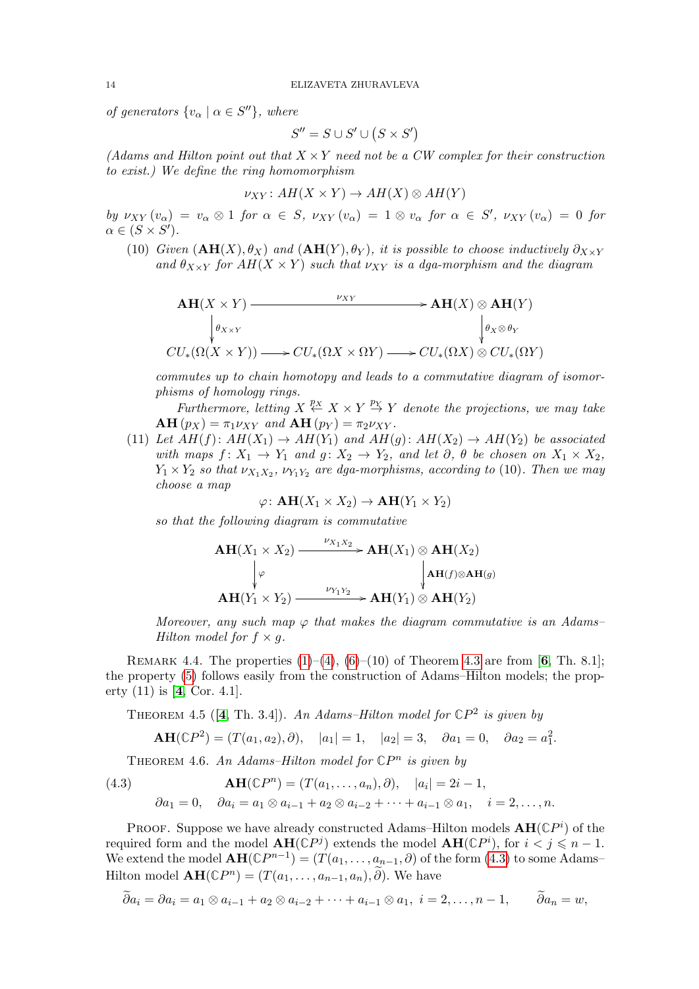of generators  $\{v_{\alpha} \mid \alpha \in S''\}$ , where

$$
S'' = S \cup S' \cup (S \times S')
$$

(Adams and Hilton point out that  $X \times Y$  need not be a CW complex for their construction to exist.) We define the ring homomorphism

$$
\nu_{XY}: AH(X \times Y) \to AH(X) \otimes AH(Y)
$$

by  $\nu_{XY}(v_\alpha) = v_\alpha \otimes 1$  for  $\alpha \in S$ ,  $\nu_{XY}(v_\alpha) = 1 \otimes v_\alpha$  for  $\alpha \in S'$ ,  $\nu_{XY}(v_\alpha) = 0$  for  $\alpha \in (S \times S')$ .

(10) Given  $(AH(X), \theta_X)$  and  $(AH(Y), \theta_Y)$ , it is possible to choose inductively  $\partial_{X\times Y}$ and  $\theta_{X\times Y}$  for  $AH(X\times Y)$  such that  $\nu_{XY}$  is a dga-morphism and the diagram

$$
\mathbf{AH}(X \times Y) \xrightarrow{\nu_{XY}} \mathbf{AH}(X) \otimes \mathbf{AH}(Y) \n\downarrow \theta_{X \times Y} \qquad \qquad \downarrow \theta_X \otimes \theta_Y \nCU_*(\Omega(X \times Y)) \longrightarrow CU_*(\Omega X \times \Omega Y) \longrightarrow CU_*(\Omega X) \otimes CU_*(\Omega Y)
$$

commutes up to chain homotopy and leads to a commutative diagram of isomorphisms of homology rings.

Furthermore, letting  $X \stackrel{p_X}{\leftarrow} X \times Y \stackrel{p_Y}{\rightarrow} Y$  denote the projections, we may take  $\mathbf{AH}(p_X) = \pi_1 \nu_{XY}$  and  $\mathbf{AH}(p_Y) = \pi_2 \nu_{XY}$ .

(11) Let  $AH(f): AH(X_1) \rightarrow AH(Y_1)$  and  $AH(g): AH(X_2) \rightarrow AH(Y_2)$  be associated with maps  $f: X_1 \to Y_1$  and  $g: X_2 \to Y_2$ , and let  $\partial, \theta$  be chosen on  $X_1 \times X_2$ ,  $Y_1 \times Y_2$  so that  $\nu_{X_1X_2}$ ,  $\nu_{Y_1Y_2}$  are dga-morphisms, according to (10). Then we may choose a map

$$
\varphi\colon \mathbf{AH}(X_1\times X_2)\to \mathbf{AH}(Y_1\times Y_2)
$$

so that the following diagram is commutative

$$
\mathbf{AH}(X_1 \times X_2) \xrightarrow{\nu_{X_1 X_2}} \mathbf{AH}(X_1) \otimes \mathbf{AH}(X_2)
$$
\n
$$
\downarrow \varphi \qquad \qquad \downarrow \mathbf{AH}(f) \otimes \mathbf{AH}(g)
$$
\n
$$
\mathbf{AH}(Y_1 \times Y_2) \xrightarrow{\nu_{Y_1 Y_2}} \mathbf{AH}(Y_1) \otimes \mathbf{AH}(Y_2)
$$

Moreover, any such map  $\varphi$  that makes the diagram commutative is an Adams– Hilton model for  $f \times g$ .

REMARK 4.4. The properties  $(1)–(4)$  $(1)–(4)$  $(1)–(4)$ ,  $(6)–(10)$  $(6)–(10)$  of Theorem [4.3](#page-12-4) are from [[6](#page-21-7), Th. 8.1]; the property [\(5\)](#page-12-5) follows easily from the construction of Adams–Hilton models; the property (11) is [[4](#page-21-4), Cor. 4.1].

THEOREM [4](#page-21-4).5 ( $[4, Th. 3.4]$ ). An Adams-Hilton model for  $\mathbb{C}P^2$  is given by

$$
\mathbf{AH}(\mathbb{C}P^2) = (T(a_1, a_2), \partial), \quad |a_1| = 1, \quad |a_2| = 3, \quad \partial a_1 = 0, \quad \partial a_2 = a_1^2.
$$

<span id="page-13-1"></span>THEOREM 4.6. An Adams–Hilton model for  $\mathbb{C}P^n$  is given by

<span id="page-13-0"></span>(4.3) 
$$
\mathbf{AH}(\mathbb{C}P^{n}) = (T(a_{1},...,a_{n}),\partial), \quad |a_{i}| = 2i - 1, \partial a_{1} = 0, \quad \partial a_{i} = a_{1} \otimes a_{i-1} + a_{2} \otimes a_{i-2} + \cdots + a_{i-1} \otimes a_{1}, \quad i = 2,...,n.
$$

PROOF. Suppose we have already constructed Adams–Hilton models  $AH(\mathbb{C}P^i)$  of the required form and the model  $AH(\mathbb{C}P^j)$  extends the model  $AH(\mathbb{C}P^i)$ , for  $i < j \leq n-1$ . We extend the model  $\mathbf{AH}(\mathbb{C}P^{n-1}) = (T(a_1, \ldots, a_{n-1}, \partial)$  of the form  $(4.3)$  to some Adams– Hilton model  $\mathbf{AH}(\mathbb{C}P^n) = (T(a_1, \ldots, a_{n-1}, a_n), \tilde{\partial})$ . We have

$$
\partial a_i = \partial a_i = a_1 \otimes a_{i-1} + a_2 \otimes a_{i-2} + \cdots + a_{i-1} \otimes a_1, \ i = 2, \ldots, n-1, \qquad \partial a_n = w,
$$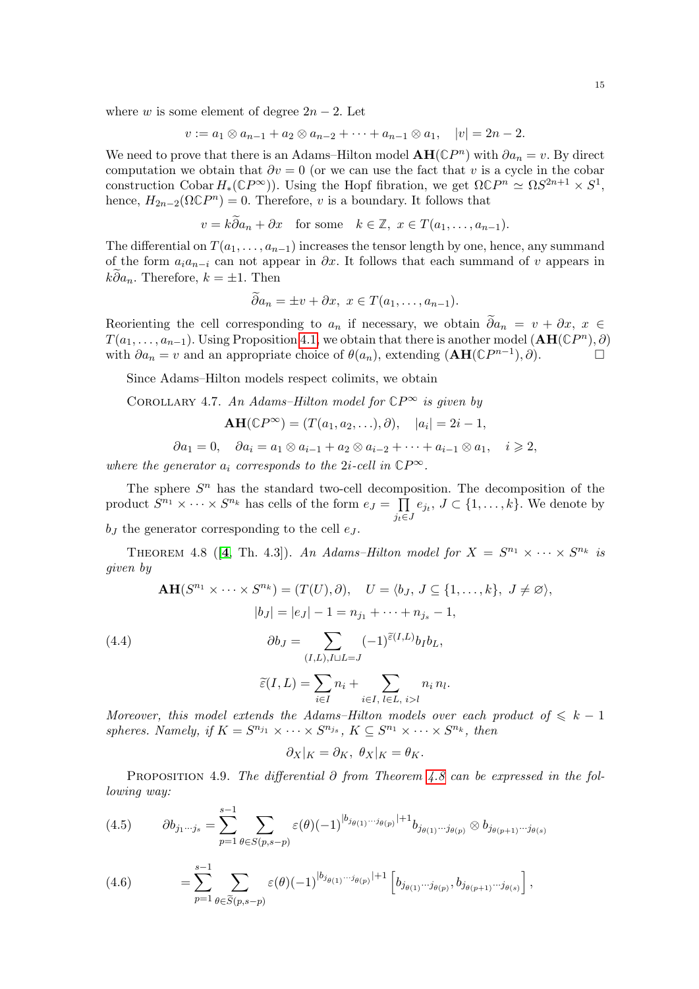15

where w is some element of degree  $2n-2$ . Let

$$
v := a_1 \otimes a_{n-1} + a_2 \otimes a_{n-2} + \cdots + a_{n-1} \otimes a_1, \quad |v| = 2n - 2.
$$

We need to prove that there is an Adams–Hilton model  $AH({\mathbb{C}}P^n)$  with  $\partial a_n = v$ . By direct computation we obtain that  $\partial v = 0$  (or we can use the fact that v is a cycle in the cobar construction Cobar  $H_*(\mathbb{C}P^{\infty})$ ). Using the Hopf fibration, we get  $\Omega \mathbb{C}P^n \simeq \Omega S^{2n+1} \times S^1$ , hence,  $H_{2n-2}(\Omega \mathbb{C}P^n) = 0$ . Therefore, v is a boundary. It follows that

$$
v = k\partial a_n + \partial x
$$
 for some  $k \in \mathbb{Z}$ ,  $x \in T(a_1, ..., a_{n-1})$ .

The differential on  $T(a_1, \ldots, a_{n-1})$  increases the tensor length by one, hence, any summand of the form  $a_i a_{n-i}$  can not appear in  $\partial x$ . It follows that each summand of v appears in  $k\widetilde{\partial} a_n$ . Therefore,  $k = \pm 1$ . Then

$$
\partial a_n = \pm v + \partial x, \ x \in T(a_1, \dots, a_{n-1}).
$$

Reorienting the cell corresponding to  $a_n$  if necessary, we obtain  $\widetilde{\partial}a_n = v + \partial x, x \in$  $T(a_1, \ldots, a_{n-1})$ . Using Proposition [4.1,](#page-11-1) we obtain that there is another model  $(AH({\mathbb C}P^n), \partial)$ with  $\partial a_n = v$  and an appropriate choice of  $\theta(a_n)$ , extending  $(AH(\mathbb{C}P^{n-1}), \partial)$ .

Since Adams–Hilton models respect colimits, we obtain

COROLLARY 4.7. An Adams–Hilton model for  $\mathbb{C}P^{\infty}$  is given by

$$
\mathbf{AH}(\mathbb{C}P^{\infty})=(T(a_1,a_2,\ldots),\partial), \quad |a_i|=2i-1,
$$

$$
\partial a_1 = 0, \quad \partial a_i = a_1 \otimes a_{i-1} + a_2 \otimes a_{i-2} + \cdots + a_{i-1} \otimes a_1, \quad i \geqslant 2,
$$

where the generator  $a_i$  corresponds to the 2*i*-cell in  $\mathbb{C}P^{\infty}$ .

The sphere  $S<sup>n</sup>$  has the standard two-cell decomposition. The decomposition of the product  $S^{n_1} \times \cdots \times S^{n_k}$  has cells of the form  $e_J = \prod$  $j_t \in J$  $e_{j_t}, J \subset \{1, \ldots, k\}$ . We denote by

 $b<sub>J</sub>$  the generator corresponding to the cell  $e<sub>J</sub>$ .

<span id="page-14-0"></span>THEOREM [4](#page-21-4).8 ([4, Th. 4.3]). An Adams-Hilton model for  $X = S^{n_1} \times \cdots \times S^{n_k}$  is given by

$$
\mathbf{AH}(S^{n_1} \times \cdots \times S^{n_k}) = (T(U), \partial), \quad U = \langle b_J, J \subseteq \{1, \dots, k\}, J \neq \emptyset \rangle,
$$

$$
|b_J| = |e_J| - 1 = n_{j_1} + \cdots + n_{j_s} - 1,
$$

$$
\partial b_J = \sum_{(I, L), I \sqcup L = J} (-1)^{\tilde{\varepsilon}(I, L)} b_I b_L,
$$

<span id="page-14-1"></span>
$$
\widetilde{\varepsilon}(I,L) = \sum_{i \in I} n_i + \sum_{i \in I, \ l \in L, \ i > l} n_i n_l.
$$

Moreover, this model extends the Adams–Hilton models over each product of  $\leq k - 1$ spheres. Namely, if  $K = S^{n_{j_1}} \times \cdots \times S^{n_{j_s}}$ ,  $K \subseteq S^{n_1} \times \cdots \times S^{n_k}$ , then

$$
\partial_X|_K = \partial_K, \ \theta_X|_K = \theta_K.
$$

PROPOSITION 4.9. The differential ∂ from Theorem [4.8](#page-14-0) can be expressed in the following way:

<span id="page-14-2"></span>(4.5) 
$$
\partial b_{j_1...j_s} = \sum_{p=1}^{s-1} \sum_{\theta \in S(p,s-p)} \varepsilon(\theta) (-1)^{|b_{j_{\theta(1)}}...j_{\theta(p)}|+1} b_{j_{\theta(1)}...j_{\theta(p)}} \otimes b_{j_{\theta(p+1)}...j_{\theta(s)}}
$$

(4.6) 
$$
= \sum_{p=1}^{s-1} \sum_{\theta \in \widetilde{S}(p,s-p)} \varepsilon(\theta) (-1)^{|b_{j_{\theta(1)}} \cdots b_{\theta(p)}|+1} \left[ b_{j_{\theta(1)} \cdots j_{\theta(p)}}, b_{j_{\theta(p+1)} \cdots j_{\theta(s)}} \right],
$$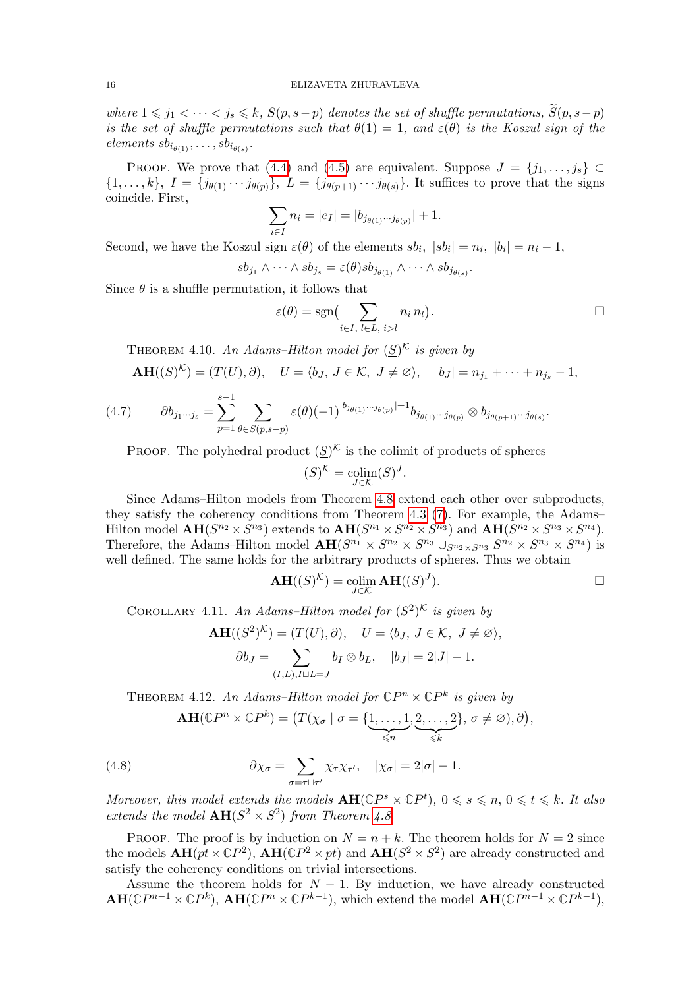where  $1 \leq j_1 < \cdots < j_s \leq k$ ,  $S(p, s-p)$  denotes the set of shuffle permutations,  $\widetilde{S}(p, s-p)$ is the set of shuffle permutations such that  $\theta(1) = 1$ , and  $\varepsilon(\theta)$  is the Koszul sign of the elements  $sb_{i_{\theta(1)}}, \ldots, sb_{i_{\theta(s)}}$ .

PROOF. We prove that [\(4.4\)](#page-14-1) and [\(4.5\)](#page-14-2) are equivalent. Suppose  $J = \{j_1, \ldots, j_s\} \subset$  $\{1,\ldots,k\},\ I=\{j_{\theta(1)}\cdots j_{\theta(p)}\},\ L=\{j_{\theta(p+1)}\cdots j_{\theta(s)}\}.$  It suffices to prove that the signs coincide. First,

$$
\sum_{i \in I} n_i = |e_I| = |b_{j_{\theta(1)} \cdots j_{\theta(p)}}| + 1.
$$

Second, we have the Koszul sign  $\varepsilon(\theta)$  of the elements  $sb_i$ ,  $|sb_i|=n_i$ ,  $|b_i|=n_i-1$ ,

$$
sb_{j_1}\wedge\cdots\wedge sb_{j_s}=\varepsilon(\theta)sb_{j_{\theta(1)}}\wedge\cdots\wedge sb_{j_{\theta(s)}}.
$$

Since  $\theta$  is a shuffle permutation, it follows that

$$
\varepsilon(\theta) = \text{sgn}\Big(\sum_{i \in I, l \in L, i > l} n_i n_l\Big).
$$

<span id="page-15-2"></span>THEOREM 4.10. An Adams–Hilton model for  $(\underline{S})^{\mathcal{K}}$  is given by

$$
\mathbf{AH}((\underline{S})^{\mathcal{K}})=(T(U),\partial), \quad U=\langle b_J, J\in\mathcal{K}, J\neq\varnothing\rangle, \quad |b_J|=n_{j_1}+\cdots+n_{j_s}-1,
$$

(4.7) 
$$
\partial b_{j_1 \cdots j_s} = \sum_{p=1}^{s-1} \sum_{\theta \in S(p,s-p)} \varepsilon(\theta) (-1)^{|b_{j_{\theta(1)} \cdots j_{\theta(p)}}|+1} b_{j_{\theta(1)} \cdots j_{\theta(p)}} \otimes b_{j_{\theta(p+1)} \cdots j_{\theta(s)}}.
$$

PROOF. The polyhedral product  $(\underline{S})^{\mathcal{K}}$  is the colimit of products of spheres

$$
(\underline{S})^{\mathcal{K}} = \operatorname*{colim}_{J \in \mathcal{K}} (\underline{S})^J.
$$

Since Adams–Hilton models from Theorem [4.8](#page-14-0) extend each other over subproducts, they satisfy the coherency conditions from Theorem [4.3](#page-12-4) [\(7\)](#page-12-1). For example, the Adams– Hilton model  $\mathbf{AH}(S^{n_2}\times S^{n_3})$  extends to  $\mathbf{AH}(S^{n_1}\times S^{n_2}\times S^{n_3})$  and  $\mathbf{AH}(S^{n_2}\times S^{n_3}\times S^{n_4})$ . Therefore, the Adams–Hilton model  $\mathbf{AH}(S^{n_1} \times S^{n_2} \times S^{n_3} \cup_{S^{n_2} \times S^{n_3}} S^{n_2} \times S^{n_3} \times S^{n_4})$  is well defined. The same holds for the arbitrary products of spheres. Thus we obtain

$$
\mathbf{AH}((\underline{S})^{\mathcal{K}}) = \operatorname*{colim}_{J \in \mathcal{K}} \mathbf{AH}((\underline{S})^J).
$$

<span id="page-15-1"></span>COROLLARY 4.11. An Adams–Hilton model for  $(S^2)^{\mathcal{K}}$  is given by

$$
\mathbf{AH}((S^2)^{\mathcal{K}}) = (T(U), \partial), \quad U = \langle b_J, J \in \mathcal{K}, J \neq \varnothing \rangle,
$$

$$
\partial b_J = \sum_{(I,L), I \sqcup L = J} b_I \otimes b_L, \quad |b_J| = 2|J| - 1.
$$

THEOREM 4.12. An Adams–Hilton model for  $\mathbb{C}P^n \times \mathbb{C}P^k$  is given by

<span id="page-15-0"></span>
$$
\mathbf{AH}(\mathbb{C}P^n \times \mathbb{C}P^k) = \left(T(\chi_{\sigma} \mid \sigma = \{\underbrace{1,\ldots,1}_{\leq n},\underbrace{2,\ldots,2}_{\leq k}\}, \sigma \neq \varnothing), \partial\right),
$$

(4.8) 
$$
\partial \chi_{\sigma} = \sum_{\sigma = \tau \sqcup \tau'} \chi_{\tau} \chi_{\tau'}, \quad |\chi_{\sigma}| = 2|\sigma| - 1.
$$

Moreover, this model extends the models  $AH(\mathbb{C}P^s \times \mathbb{C}P^t)$ ,  $0 \le s \le n, 0 \le t \le k$ . It also extends the model  $AH(S^2 \times S^2)$  from Theorem [4.8.](#page-14-0)

PROOF. The proof is by induction on  $N = n + k$ . The theorem holds for  $N = 2$  since the models  $AH(pt \times \mathbb{C}P^2)$ ,  $AH(\mathbb{C}P^2 \times pt)$  and  $AH(S^2 \times S^2)$  are already constructed and satisfy the coherency conditions on trivial intersections.

Assume the theorem holds for  $N-1$ . By induction, we have already constructed  $AH(\mathbb{C}P^{n-1}\times\mathbb{C}P^k)$ ,  $AH(\mathbb{C}P^n\times\mathbb{C}P^{k-1})$ , which extend the model  $AH(\mathbb{C}P^{n-1}\times\mathbb{C}P^{k-1})$ ,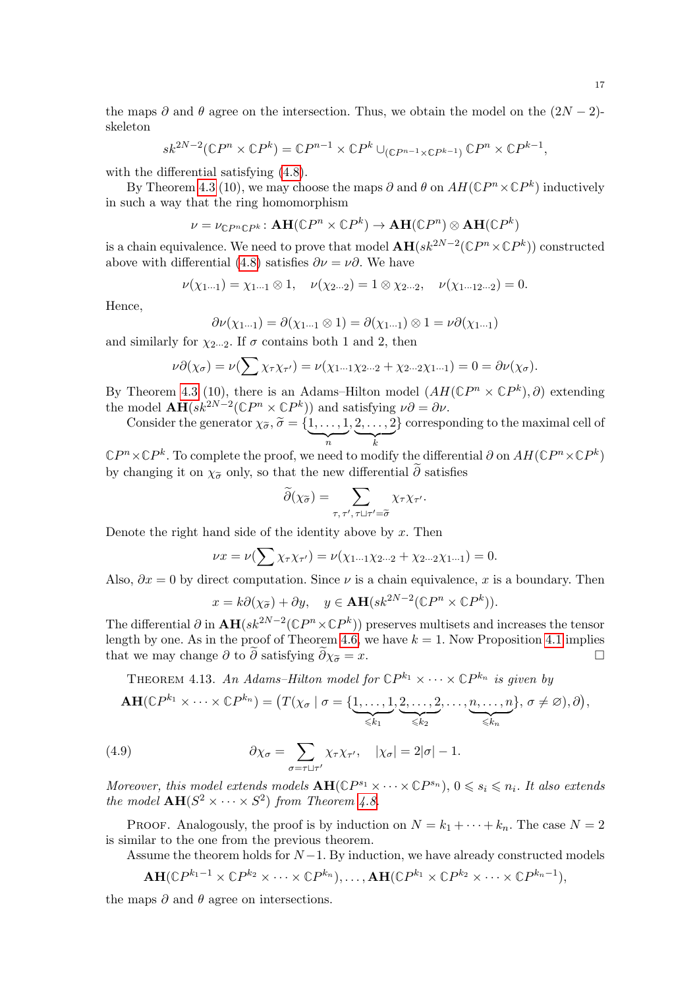the maps  $\partial$  and  $\theta$  agree on the intersection. Thus, we obtain the model on the  $(2N-2)$ skeleton

$$
sk^{2N-2}(\mathbb{C}P^n \times \mathbb{C}P^k) = \mathbb{C}P^{n-1} \times \mathbb{C}P^k \cup_{(\mathbb{C}P^{n-1} \times \mathbb{C}P^{k-1})} \mathbb{C}P^n \times \mathbb{C}P^{k-1},
$$

with the differential satisfying  $(4.8)$ .

By Theorem [4.3](#page-12-4) (10), we may choose the maps  $\partial$  and  $\theta$  on  $AH(\mathbb{C}P^n \times \mathbb{C}P^k)$  inductively in such a way that the ring homomorphism

$$
\nu = \nu_{\mathbb{C}P^n\mathbb{C}P^k} \colon \mathbf{AH}(\mathbb{C}P^n \times \mathbb{C}P^k) \to \mathbf{AH}(\mathbb{C}P^n) \otimes \mathbf{AH}(\mathbb{C}P^k)
$$

is a chain equivalence. We need to prove that model  $\mathbf{AH}(sk^{2N-2}(\mathbb{C}P^n\times\mathbb{C}P^k))$  constructed above with differential [\(4.8\)](#page-15-0) satisfies  $\partial \nu = \nu \partial$ . We have

$$
\nu(\chi_{1\cdots 1}) = \chi_{1\cdots 1} \otimes 1, \quad \nu(\chi_{2\cdots 2}) = 1 \otimes \chi_{2\cdots 2}, \quad \nu(\chi_{1\cdots 12\cdots 2}) = 0.
$$

Hence,

$$
\partial \nu(\chi_{1\cdots 1}) = \partial(\chi_{1\cdots 1} \otimes 1) = \partial(\chi_{1\cdots 1}) \otimes 1 = \nu \partial(\chi_{1\cdots 1})
$$

and similarly for  $\chi_{2\cdots 2}$ . If  $\sigma$  contains both 1 and 2, then

$$
\nu \partial(\chi_{\sigma}) = \nu(\sum \chi_{\tau} \chi_{\tau'}) = \nu(\chi_{1\cdots 1} \chi_{2\cdots 2} + \chi_{2\cdots 2} \chi_{1\cdots 1}) = 0 = \partial \nu(\chi_{\sigma}).
$$

By Theorem [4.3](#page-12-4) (10), there is an Adams–Hilton model  $(AH(\mathbb{C}P^n \times \mathbb{C}P^k), \partial)$  extending the model  $\mathbf{AH}(sk^{2N-2}(\mathbb{C}P^n \times \mathbb{C}P^k))$  and satisfying  $\nu \partial = \partial \nu$ .

Consider the generator  $\chi_{\widetilde{\sigma}}, \widetilde{\sigma} = \{ \underbrace{1, \ldots, 1}_{n} \}$  $, 2, \ldots, 2$  $\overline{\phantom{a}}_k$ } corresponding to the maximal cell of

 $\mathbb{C}P^n \times \mathbb{C}P^k$ . To complete the proof, we need to modify the differential  $\partial$  on  $AH(\mathbb{C}P^n \times \mathbb{C}P^k)$ by changing it on  $\chi_{\tilde{\sigma}}$  only, so that the new differential  $\tilde{\partial}$  satisfies

$$
\widetilde{\partial}(\chi_{\widetilde{\sigma}}) = \sum_{\tau,\,\tau',\,\tau \sqcup \tau' = \widetilde{\sigma}} \chi_{\tau} \chi_{\tau'}.
$$

Denote the right hand side of the identity above by  $x$ . Then

$$
\nu x = \nu \left( \sum \chi_{\tau} \chi_{\tau'} \right) = \nu \left( \chi_{1\cdots 1} \chi_{2\cdots 2} + \chi_{2\cdots 2} \chi_{1\cdots 1} \right) = 0.
$$

Also,  $\partial x = 0$  by direct computation. Since  $\nu$  is a chain equivalence, x is a boundary. Then

$$
x = k\partial(\chi_{\tilde{\sigma}}) + \partial y, \quad y \in \mathbf{AH}(sk^{2N-2}(\mathbb{C}P^n \times \mathbb{C}P^k)).
$$

The differential  $\partial$  in  $\mathbf{AH}(sk^{2N-2}(\mathbb{C}P^n\times\mathbb{C}P^k))$  preserves multisets and increases the tensor length by one. As in the proof of Theorem [4.6,](#page-13-1) we have  $k = 1$ . Now Proposition [4.1](#page-11-1) implies that we may change  $\partial$  to  $\tilde{\partial}$  satisfying  $\tilde{\partial}\chi_{\tilde{\sigma}}=x$ .  $\tilde{\sigma} = x.$ 

THEOREM 4.13. An Adams–Hilton model for  $\mathbb{C}P^{k_1} \times \cdots \times \mathbb{C}P^{k_n}$  is given by

<span id="page-16-0"></span>
$$
\mathbf{AH}(\mathbb{C}P^{k_1}\times\cdots\times\mathbb{C}P^{k_n})=\big(T(\chi_{\sigma}\mid\sigma=\{\underbrace{1,\ldots,1}_{\leq k_1},\underbrace{2,\ldots,2}_{\leq k_2},\ldots,\underbrace{n,\ldots,n}_{\leq k_n}\},\,\sigma\neq\varnothing),\partial\big),
$$

(4.9) 
$$
\partial \chi_{\sigma} = \sum_{\sigma = \tau \sqcup \tau'} \chi_{\tau} \chi_{\tau'}, \quad |\chi_{\sigma}| = 2|\sigma| - 1.
$$

Moreover, this model extends models  $AH(\mathbb{C}P^{s_1} \times \cdots \times \mathbb{C}P^{s_n})$ ,  $0 \leq s_i \leq n_i$ . It also extends the model  $\mathbf{AH}(S^2 \times \cdots \times S^2)$  from Theorem [4.8.](#page-14-0)

PROOF. Analogously, the proof is by induction on  $N = k_1 + \cdots + k_n$ . The case  $N = 2$ is similar to the one from the previous theorem.

Assume the theorem holds for  $N-1$ . By induction, we have already constructed models

$$
\mathbf{AH}(\mathbb{C}P^{k_1-1}\times\mathbb{C}P^{k_2}\times\cdots\times\mathbb{C}P^{k_n}),\ldots,\mathbf{AH}(\mathbb{C}P^{k_1}\times\mathbb{C}P^{k_2}\times\cdots\times\mathbb{C}P^{k_n-1}),
$$

the maps  $\partial$  and  $\theta$  agree on intersections.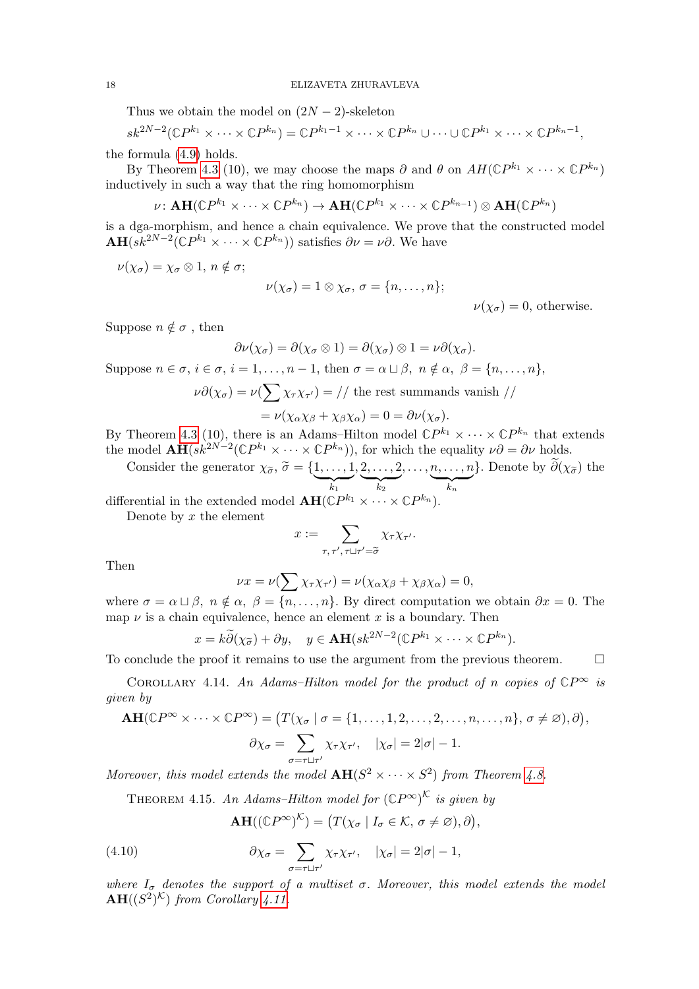Thus we obtain the model on  $(2N-2)$ -skeleton

$$
sk^{2N-2}(\mathbb{C}P^{k_1}\times\cdots\times\mathbb{C}P^{k_n})=\mathbb{C}P^{k_1-1}\times\cdots\times\mathbb{C}P^{k_n}\cup\cdots\cup\mathbb{C}P^{k_1}\times\cdots\times\mathbb{C}P^{k_n-1},
$$

the formula [\(4.9\)](#page-16-0) holds.

By Theorem [4.3](#page-12-4) (10), we may choose the maps  $\partial$  and  $\theta$  on  $AH(\mathbb{C}P^{k_1}\times\cdots\times\mathbb{C}P^{k_n})$ inductively in such a way that the ring homomorphism

$$
\nu\colon \mathbf{AH}(\mathbb{C}P^{k_1}\times\cdots\times\mathbb{C}P^{k_n})\to\mathbf{AH}(\mathbb{C}P^{k_1}\times\cdots\times\mathbb{C}P^{k_{n-1}})\otimes\mathbf{AH}(\mathbb{C}P^{k_n})
$$

is a dga-morphism, and hence a chain equivalence. We prove that the constructed model  $\mathbf{AH}(sk^{2N-2}(\mathbb{C}P^{k_1}\times\cdots\times\mathbb{C}P^{k_n}))$  satisfies  $\partial\nu=\nu\partial$ . We have

 $\nu(\chi_{\sigma}) = \chi_{\sigma} \otimes 1, n \notin \sigma;$ 

$$
\nu(\chi_{\sigma})=1\otimes\chi_{\sigma},\,\sigma=\{n,\ldots,n\};
$$

 $\nu(\chi_{\sigma})=0$ , otherwise.

Suppose  $n \notin \sigma$ , then

$$
\partial \nu(\chi_{\sigma}) = \partial(\chi_{\sigma} \otimes 1) = \partial(\chi_{\sigma}) \otimes 1 = \nu \partial(\chi_{\sigma}).
$$

Suppose  $n \in \sigma$ ,  $i \in \sigma$ ,  $i = 1, \ldots, n - 1$ , then  $\sigma = \alpha \sqcup \beta$ ,  $n \notin \alpha$ ,  $\beta = \{n, \ldots, n\}$ ,

$$
\nu \partial(\chi_{\sigma}) = \nu(\sum \chi_{\tau} \chi_{\tau'}) = // \text{ the rest summands vanish } //
$$
  
=  $\nu(\chi_{\alpha} \chi_{\beta} + \chi_{\beta} \chi_{\alpha}) = 0 = \partial \nu(\chi_{\sigma}).$ 

By Theorem [4.3](#page-12-4) (10), there is an Adams–Hilton model  $\mathbb{C}P^{k_1} \times \cdots \times \mathbb{C}P^{k_n}$  that extends the model  $\mathbf{AH}(sk^{2N-2}(\mathbb{C}P^{k_1}\times\cdots\times\mathbb{C}P^{k_n}))$ , for which the equality  $\nu\partial=\partial\nu$  holds.

Consider the generator  $\chi_{\widetilde{\sigma}}, \widetilde{\sigma} = \{\underbrace{1, \ldots, 1}_{k_1}\}$  $, 2, \ldots, 2$  $\overline{k_2}$  $, \ldots, n, \ldots, n$  $\overline{k_n}$ }. Denote by  $\partial(\chi_{\tilde{\sigma}})$  the

differential in the extended model  $\text{AH}(\mathbb{C}P^{k_1} \times \cdots \times \mathbb{C}P^{k_n})$ .

Denote by  $x$  the element

$$
x := \sum_{\tau, \tau', \tau \sqcup \tau' = \widetilde{\sigma}} \chi_{\tau} \chi_{\tau'}.
$$

Then

$$
\nu x = \nu \left( \sum \chi_{\tau} \chi_{\tau'} \right) = \nu \left( \chi_{\alpha} \chi_{\beta} + \chi_{\beta} \chi_{\alpha} \right) = 0,
$$

where  $\sigma = \alpha \sqcup \beta$ ,  $n \notin \alpha$ ,  $\beta = \{n, \ldots, n\}$ . By direct computation we obtain  $\partial x = 0$ . The map  $\nu$  is a chain equivalence, hence an element x is a boundary. Then

$$
x = k\widetilde{\partial}(\chi_{\widetilde{\sigma}}) + \partial y, \quad y \in \mathbf{AH}(sk^{2N-2}(\mathbb{C}P^{k_1} \times \cdots \times \mathbb{C}P^{k_n}).
$$

To conclude the proof it remains to use the argument from the previous theorem.  $\Box$ 

<span id="page-17-0"></span>COROLLARY 4.14. An Adams–Hilton model for the product of n copies of  $\mathbb{C}P^{\infty}$  is given by

$$
\mathbf{AH}(\mathbb{C}P^{\infty} \times \cdots \times \mathbb{C}P^{\infty}) = (T(\chi_{\sigma} \mid \sigma = \{1, ..., 1, 2, ..., 2, ..., n, ..., n\}, \sigma \neq \varnothing), \partial),
$$

$$
\partial \chi_{\sigma} = \sum_{\sigma = \tau \sqcup \tau'} \chi_{\tau} \chi_{\tau'}, \quad |\chi_{\sigma}| = 2|\sigma| - 1.
$$

<span id="page-17-1"></span>Moreover, this model extends the model  $AH(S^2 \times \cdots \times S^2)$  from Theorem [4.8.](#page-14-0)

THEOREM 4.15. An Adams–Hilton model for  $(\mathbb{C}P^{\infty})^{\mathcal{K}}$  is given by

$$
\mathbf{AH}((\mathbb{C}P^{\infty})^{\mathcal{K}})=(T(\chi_{\sigma} \mid I_{\sigma} \in \mathcal{K}, \sigma \neq \varnothing), \partial),
$$

(4.10) 
$$
\partial \chi_{\sigma} = \sum_{\sigma = \tau \sqcup \tau'} \chi_{\tau} \chi_{\tau'}, \quad |\chi_{\sigma}| = 2|\sigma| - 1,
$$

where  $I_{\sigma}$  denotes the support of a multiset  $\sigma$ . Moreover, this model extends the model  $\mathbf{AH}((S^2)^{\mathcal{K}})$  from Corollary [4.11.](#page-15-1)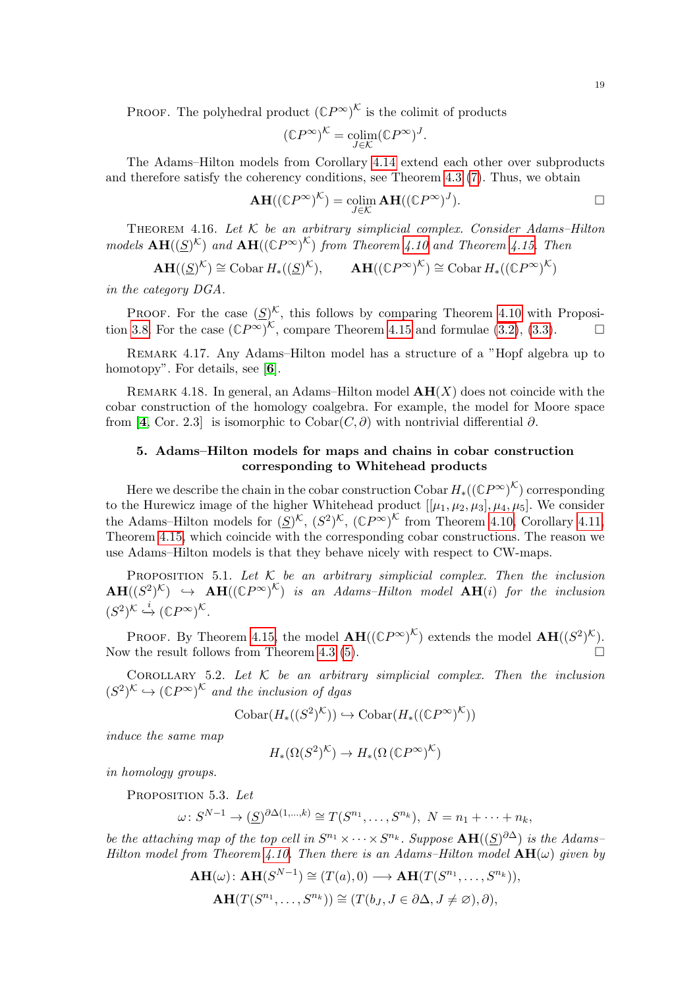PROOF. The polyhedral product  $(\mathbb{C}P^{\infty})^{\mathcal{K}}$  is the colimit of products

$$
(\mathbb{C} P^{\infty})^{\mathcal{K}} = \underset{J \in \mathcal{K}}{\operatorname{colim}} (\mathbb{C} P^{\infty})^J.
$$

The Adams–Hilton models from Corollary [4.14](#page-17-0) extend each other over subproducts and therefore satisfy the coherency conditions, see Theorem [4.3](#page-12-4) [\(7\)](#page-12-1). Thus, we obtain

$$
\mathbf{AH}((\mathbb{C}P^{\infty})^{\mathcal{K}}) = \operatorname*{colim}_{J \in \mathcal{K}} \mathbf{AH}((\mathbb{C}P^{\infty})^J).
$$

<span id="page-18-1"></span>THEOREM 4.16. Let  $K$  be an arbitrary simplicial complex. Consider Adams–Hilton models  $\mathbf{AH}((S)^{\mathcal{K}})$  and  $\mathbf{AH}((\mathbb{C}P^{\infty})^{\mathcal{K}})$  from Theorem [4.10](#page-15-2) and Theorem [4.15.](#page-17-1) Then

$$
\mathbf{AH}((\underline{S})^{\mathcal{K}}) \cong \mathrm{Cobar} \, H_*((\underline{S})^{\mathcal{K}}), \qquad \mathbf{AH}((\mathbb{C}P^{\infty})^{\mathcal{K}}) \cong \mathrm{Cobar} \, H_*((\mathbb{C}P^{\infty})^{\mathcal{K}})
$$

in the category DGA.

PROOF. For the case  $(S)^{\mathcal{K}}$ , this follows by comparing Theorem [4.10](#page-15-2) with Proposi-tion [3.8.](#page-10-0) For the case  $(\mathbb{C}P^{\infty})^{\mathcal{K}}$ , compare Theorem [4.15](#page-17-1) and formulae [\(3.2\)](#page-8-1), [\(3.3\)](#page-8-0).

Remark 4.17. Any Adams–Hilton model has a structure of a "Hopf algebra up to homotopy". For details, see [[6](#page-21-7)].

REMARK 4.18. In general, an Adams–Hilton model  $AH(X)$  does not coincide with the cobar construction of the homology coalgebra. For example, the model for Moore space from [[4](#page-21-4), Cor. 2.3] is isomorphic to Cobar( $C, \partial$ ) with nontrivial differential  $\partial$ .

# <span id="page-18-0"></span>5. Adams–Hilton models for maps and chains in cobar construction corresponding to Whitehead products

Here we describe the chain in the cobar construction  $\mathrm{Cobar} \ H_*((\mathbb{C}P^\infty)^{\mathcal{K}})$  corresponding to the Hurewicz image of the higher Whitehead product  $[[\mu_1, \mu_2, \mu_3], \mu_4, \mu_5]$ . We consider the Adams–Hilton models for  $(\underline{S})^{\mathcal{K}}$ ,  $(\underline{S}^2)^{\mathcal{K}}$ ,  $(\mathbb{C}P^{\infty})^{\mathcal{K}}$  from Theorem [4.10,](#page-15-2) Corollary [4.11,](#page-15-1) Theorem [4.15,](#page-17-1) which coincide with the corresponding cobar constructions. The reason we use Adams–Hilton models is that they behave nicely with respect to CW-maps.

<span id="page-18-3"></span>PROPOSITION 5.1. Let  $K$  be an arbitrary simplicial complex. Then the inclusion  $\mathbf{AH}((S^2)^{\mathcal{K}}) \rightarrow \mathbf{AH}((\mathbb{C}P^{\infty})^{\mathcal{K}})$  is an Adams–Hilton model  $\mathbf{AH}(i)$  for the inclusion  $(S^2)^{\mathcal{K}} \stackrel{i}{\hookrightarrow} (\mathbb{C}P^{\infty})^{\mathcal{K}}.$ 

PROOF. By Theorem [4.15,](#page-17-1) the model  $\mathbf{AH}((\mathbb{C}P^{\infty})^{\mathcal{K}})$  extends the model  $\mathbf{AH}((S^2)^{\mathcal{K}})$ . Now the result follows from Theorem [4.3](#page-12-4) [\(5\)](#page-12-5).

COROLLARY 5.2. Let  $K$  be an arbitrary simplicial complex. Then the inclusion  $(S^2)^{\mathcal{K}} \hookrightarrow (\mathbb{C}P^{\infty})^{\mathcal{K}}$  and the inclusion of dgas

$$
Cobar(H_*((S^2)^{\mathcal{K}})) \hookrightarrow \text{Cobar}(H_*((\mathbb{C}P^{\infty})^{\mathcal{K}}))
$$

induce the same map

$$
H_*(\Omega(S^2)^{\mathcal{K}}) \to H_*(\Omega\left(\mathbb{C}P^\infty)^{\mathcal{K}}\right)
$$

<span id="page-18-2"></span>in homology groups.

PROPOSITION 5.3. Let

$$
\omega\colon S^{N-1}\to(\underline{S})^{\partial\Delta(1,\dots,k)}\cong T(S^{n_1},\dots,S^{n_k}),\ N=n_1+\dots+n_k,
$$

be the attaching map of the top cell in  $S^{n_1} \times \cdots \times S^{n_k}$ . Suppose  $\mathbf{AH}((S)^{\partial \Delta})$  is the Adams-Hilton model from Theorem [4.10.](#page-15-2) Then there is an Adams–Hilton model  $AH(\omega)$  given by

$$
\mathbf{AH}(\omega): \mathbf{AH}(S^{N-1}) \cong (T(a), 0) \longrightarrow \mathbf{AH}(T(S^{n_1}, \dots, S^{n_k})),
$$
  
\n
$$
\mathbf{AH}(T(S^{n_1}, \dots, S^{n_k})) \cong (T(b_J, J \in \partial \Delta, J \neq \emptyset), \partial),
$$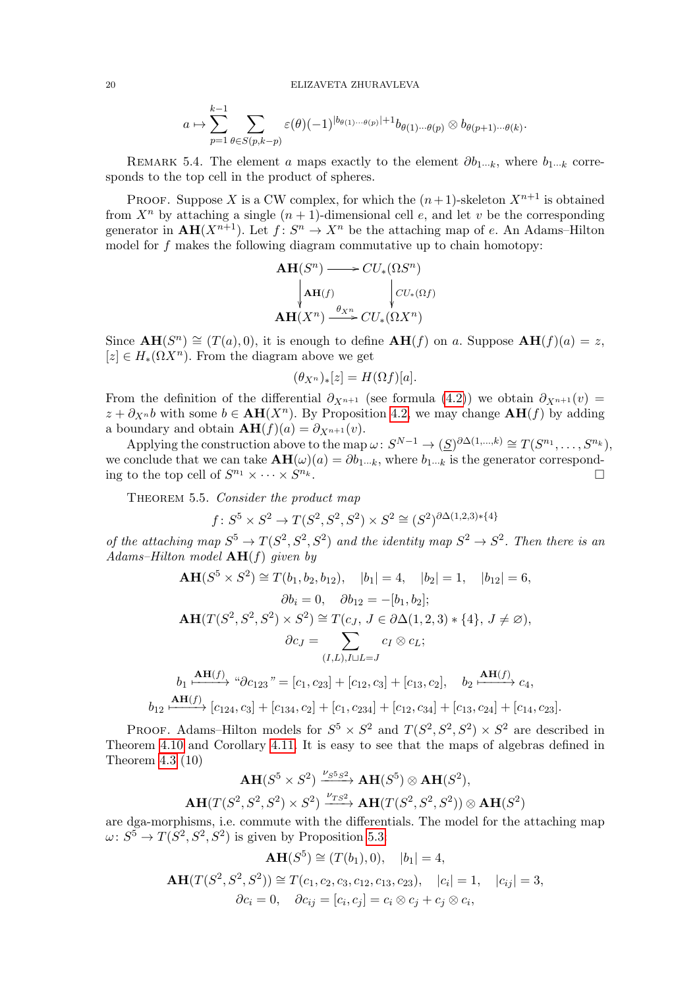$$
a \mapsto \sum_{p=1}^{k-1} \sum_{\theta \in S(p,k-p)} \varepsilon(\theta)(-1)^{|b_{\theta(1)}\cdots b_{(p)}|+1} b_{\theta(1)\cdots\theta(p)} \otimes b_{\theta(p+1)\cdots\theta(k)}.
$$

REMARK 5.4. The element a maps exactly to the element  $\partial b_1..._k$ , where  $b_1..._k$  corresponds to the top cell in the product of spheres.

PROOF. Suppose X is a CW complex, for which the  $(n+1)$ -skeleton  $X^{n+1}$  is obtained from  $X^n$  by attaching a single  $(n + 1)$ -dimensional cell e, and let v be the corresponding generator in  $AH(X^{n+1})$ . Let  $f: S^n \to X^n$  be the attaching map of e. An Adams-Hilton model for  $f$  makes the following diagram commutative up to chain homotopy:

$$
\mathbf{AH}(S^n) \longrightarrow CU_*(\Omega S^n)
$$
  
\n
$$
\downarrow \mathbf{AH}(f) \qquad \qquad \downarrow CU_*(\Omega f)
$$
  
\n
$$
\mathbf{AH}(X^n) \xrightarrow{\theta_{X^n}} CU_*(\Omega X^n)
$$

Since  $\mathbf{AH}(S^n) \cong (T(a), 0)$ , it is enough to define  $\mathbf{AH}(f)$  on a. Suppose  $\mathbf{AH}(f)(a) = z$ ,  $[z] \in H_*(\Omega X^n)$ . From the diagram above we get

$$
(\theta_{X^n})_*[z] = H(\Omega f)[a].
$$

From the definition of the differential  $\partial_{X^{n+1}}$  (see formula [\(4.2\)](#page-11-2)) we obtain  $\partial_{X^{n+1}}(v)$  =  $z + \partial_{X^n} b$  with some  $b \in AH(X^n)$ . By Proposition [4.2,](#page-12-6) we may change  $AH(f)$  by adding a boundary and obtain  $\mathbf{AH}(f)(a) = \partial_{X^{n+1}}(v)$ .

Applying the construction above to the map  $\omega: S^{N-1} \to (\underline{S})^{\partial \Delta(1,\dots,k)} \cong T(S^{n_1}, \dots, S^{n_k}),$ we conclude that we can take  $AH(\omega)(a) = \partial b_1..._k$ , where  $b_1..._k$  is the generator corresponding to the top cell of  $S^{n_1} \times \cdots \times S$  $n_k$  .

<span id="page-19-0"></span>THEOREM 5.5. Consider the product map

$$
f: S^5 \times S^2 \to T(S^2, S^2, S^2) \times S^2 \cong (S^2)^{\partial \Delta(1,2,3)*\{4\}}
$$

of the attaching map  $S^5 \to T(S^2, S^2, S^2)$  and the identity map  $S^2 \to S^2$ . Then there is an Adams–Hilton model  $AH(f)$  given by

$$
\mathbf{AH}(S^5 \times S^2) \cong T(b_1, b_2, b_{12}), \quad |b_1| = 4, \quad |b_2| = 1, \quad |b_{12}| = 6,
$$
\n
$$
\partial b_i = 0, \quad \partial b_{12} = -[b_1, b_2];
$$
\n
$$
\mathbf{AH}(T(S^2, S^2, S^2) \times S^2) \cong T(c_J, J \in \partial \Delta(1, 2, 3) * \{4\}, J \neq \emptyset),
$$
\n
$$
\partial c_J = \sum_{(I, L), I \cup L = J} c_I \otimes c_L;
$$
\n
$$
\mu_1 \xrightarrow{\mathbf{AH}(f)} \text{``}\partial c_{123} \text{''} = [c_1, c_{23}] + [c_{12}, c_3] + [c_{13}, c_2], \quad b_2 \xrightarrow{\mathbf{AH}(f)} c_4,
$$
\n
$$
b_{12} \xrightarrow{\mathbf{AH}(f)} [c_{124}, c_3] + [c_{134}, c_2] + [c_1, c_{234}] + [c_{12}, c_{34}] + [c_{13}, c_{24}] + [c_{14}, c_{23}].
$$

PROOF. Adams–Hilton models for  $S^5 \times S^2$  and  $T(S^2, S^2, S^2) \times S^2$  are described in Theorem [4.10](#page-15-2) and Corollary [4.11.](#page-15-1) It is easy to see that the maps of algebras defined in Theorem [4.3](#page-12-4) (10)

$$
\mathbf{AH}(S^5 \times S^2) \xrightarrow{\nu_{S^5S^2}} \mathbf{AH}(S^5) \otimes \mathbf{AH}(S^2),
$$
  

$$
\mathbf{AH}(T(S^2, S^2, S^2) \times S^2) \xrightarrow{\nu_{TS^2}} \mathbf{AH}(T(S^2, S^2, S^2)) \otimes \mathbf{AH}(S^2)
$$

are dga-morphisms, i.e. commute with the differentials. The model for the attaching map  $\omega: S^5 \to T(S^2, S^2, S^2)$  is given by Proposition [5.3:](#page-18-2)

$$
AH(S^5) \cong (T(b_1), 0), \quad |b_1| = 4,
$$

$$
\mathbf{AH}(T(S^2, S^2, S^2)) \cong T(c_1, c_2, c_3, c_{12}, c_{13}, c_{23}), \quad |c_i| = 1, \quad |c_{ij}| = 3, \partial c_i = 0, \quad \partial c_{ij} = [c_i, c_j] = c_i \otimes c_j + c_j \otimes c_i,
$$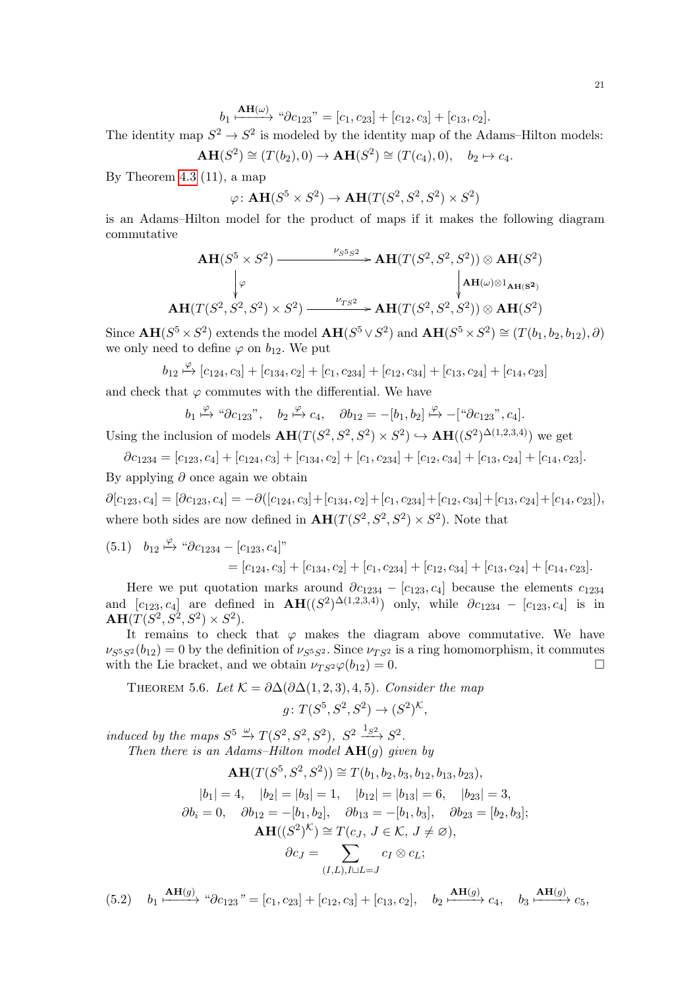$$
b_1 \xrightarrow{\mathbf{AH}(\omega)} \text{``}\partial c_{123}" = [c_1, c_{23}] + [c_{12}, c_3] + [c_{13}, c_2].
$$

The identity map  $S^2 \to S^2$  is modeled by the identity map of the Adams–Hilton models:

$$
\mathbf{AH}(S^2) \cong (T(b_2), 0) \to \mathbf{AH}(S^2) \cong (T(c_4), 0), \quad b_2 \mapsto c_4.
$$

By Theorem [4.3](#page-12-4) (11), a map

$$
\varphi \colon \mathbf{AH}(S^5 \times S^2) \to \mathbf{AH}(T(S^2, S^2, S^2) \times S^2)
$$

is an Adams–Hilton model for the product of maps if it makes the following diagram commutative

$$
\mathbf{AH}(S^5 \times S^2) \xrightarrow{\nu_{S^5S^2}} \mathbf{AH}(T(S^2, S^2, S^2)) \otimes \mathbf{AH}(S^2)
$$
\n
$$
\downarrow \varphi \qquad \qquad \downarrow \mathbf{AH}(\mathcal{U}) \otimes \mathbf{1}_{\mathbf{AH}(S^2)}
$$
\n
$$
\mathbf{AH}(T(S^2, S^2, S^2) \times S^2) \xrightarrow{\nu_{TS^2}} \mathbf{AH}(T(S^2, S^2, S^2)) \otimes \mathbf{AH}(S^2)
$$

Since  $\mathbf{AH}(S^5 \times S^2)$  extends the model  $\mathbf{AH}(S^5 \vee S^2)$  and  $\mathbf{AH}(S^5 \times S^2) \cong (T(b_1, b_2, b_{12}), \partial)$ we only need to define  $\varphi$  on  $b_{12}$ . We put

$$
b_{12} \stackrel{\varphi}{\mapsto} [c_{124}, c_3] + [c_{134}, c_2] + [c_1, c_{234}] + [c_{12}, c_{34}] + [c_{13}, c_{24}] + [c_{14}, c_{23}]
$$

and check that  $\varphi$  commutes with the differential. We have

$$
b_1 \stackrel{\varphi}{\mapsto} \text{``}\partial c_{123}"
$$
,  $b_2 \stackrel{\varphi}{\mapsto} c_4$ ,  $\partial b_{12} = -[b_1, b_2] \stackrel{\varphi}{\mapsto} -[ \text{``}\partial c_{123}"$ ,  $c_4$ ].

Using the inclusion of models  $\mathbf{AH}(T(S^2, S^2, S^2) \times S^2) \hookrightarrow \mathbf{AH}((S^2)^{\Delta(1,2,3,4)})$  we get

 $\partial c_{1234} = [c_{123}, c_4] + [c_{124}, c_3] + [c_{134}, c_2] + [c_1, c_{234}] + [c_{12}, c_{34}] + [c_{13}, c_{24}] + [c_{14}, c_{23}].$ By applying  $\partial$  once again we obtain

 $\partial[c_{123}, c_4] = [\partial c_{123}, c_4] = -\partial([c_{124}, c_3] + [c_{134}, c_2] + [c_1, c_{234}] + [c_{12}, c_{34}] + [c_{13}, c_{24}] + [c_{14}, c_{23}]),$ where both sides are now defined in  $\mathbf{AH}(T(S^2, S^2, S^2) \times S^2)$ . Note that

<span id="page-20-1"></span>
$$
(5.1) \quad b_{12} \stackrel{\varphi}{\mapsto} {}^{u} \partial c_{1234} - [c_{123}, c_4]^n
$$
  
=  $[c_{124}, c_3] + [c_{134}, c_2] + [c_1, c_{234}] + [c_{12}, c_{34}] + [c_{13}, c_{24}] + [c_{14}, c_{23}].$ 

Here we put quotation marks around  $\partial c_{1234} - [c_{123}, c_4]$  because the elements  $c_{1234}$ and  $[c_{123}, c_4]$  are defined in  $\mathbf{AH}((S^2)^{\Delta(1,2,3,4)})$  only, while  $\partial c_{1234} - [c_{123}, c_4]$  is in  $AH(T(S^2, S^2, S^2) \times S^2).$ 

It remains to check that  $\varphi$  makes the diagram above commutative. We have  $\nu_{S^5S^2}(b_{12}) = 0$  by the definition of  $\nu_{S^5S^2}$ . Since  $\nu_{TS^2}$  is a ring homomorphism, it commutes with the Lie bracket, and we obtain  $\nu_{TS^2}\varphi(b_{12}) = 0$ .

<span id="page-20-0"></span>THEOREM 5.6. Let 
$$
K = \partial \Delta(\partial \Delta(1, 2, 3), 4, 5)
$$
. Consider the map  

$$
g \colon T(S^5, S^2, S^2) \to (S^2)^K,
$$

induced by the maps  $S^5 \xrightarrow{\omega} T(S^2, S^2, S^2)$ ,  $S^2 \xrightarrow{1_{S^2}} S^2$ . Then there is an Adams–Hilton model  $AH(q)$  given by

$$
\mathbf{AH}(T(S^5, S^2, S^2)) \cong T(b_1, b_2, b_3, b_{12}, b_{13}, b_{23}),
$$
  
\n
$$
|b_1| = 4, \quad |b_2| = |b_3| = 1, \quad |b_{12}| = |b_{13}| = 6, \quad |b_{23}| = 3,
$$
  
\n
$$
\partial b_i = 0, \quad \partial b_{12} = -[b_1, b_2], \quad \partial b_{13} = -[b_1, b_3], \quad \partial b_{23} = [b_2, b_3];
$$
  
\n
$$
\mathbf{AH}((S^2)^{\mathcal{K}}) \cong T(c_J, J \in \mathcal{K}, J \neq \emptyset),
$$
  
\n
$$
\partial c_J = \sum_{(I, L), I \sqcup L = J} c_I \otimes c_L;
$$

<span id="page-20-2"></span> $(5.2)$   $b_1 \xrightarrow{\mathbf{AH}(g)} \xrightarrow{\alpha} \partial c_{123} = [c_1, c_{23}] + [c_{12}, c_3] + [c_{13}, c_2],$   $b_2 \xrightarrow{\mathbf{AH}(g)} c_4,$   $b_3 \xrightarrow{\mathbf{AH}(g)} c_5,$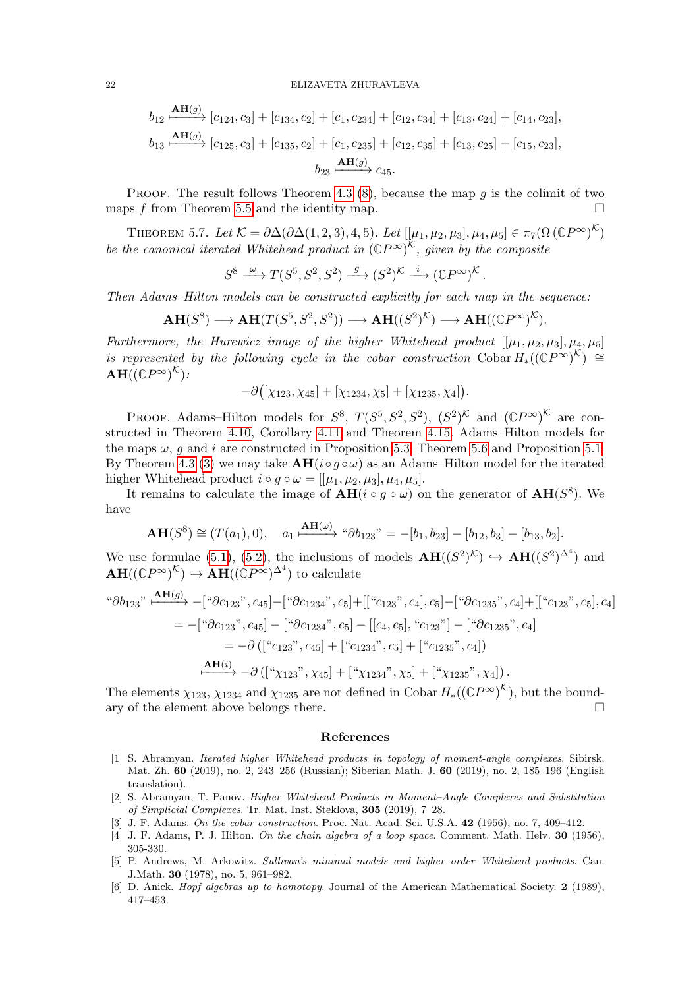$$
b_{12} \xrightarrow{\mathbf{AH}(g)} [c_{124}, c_3] + [c_{134}, c_2] + [c_1, c_{234}] + [c_{12}, c_{34}] + [c_{13}, c_{24}] + [c_{14}, c_{23}],
$$
  
\n
$$
b_{13} \xrightarrow{\mathbf{AH}(g)} [c_{125}, c_3] + [c_{135}, c_2] + [c_1, c_{235}] + [c_{12}, c_{35}] + [c_{13}, c_{25}] + [c_{15}, c_{23}],
$$
  
\n
$$
b_{23} \xrightarrow{\mathbf{AH}(g)} c_{45}.
$$

PROOF. The result follows Theorem [4.3](#page-12-4) [\(8\)](#page-12-7), because the map  $q$  is the colimit of two maps f from Theorem [5.5](#page-19-0) and the identity map.  $\Box$ 

<span id="page-21-5"></span>THEOREM 5.7. Let  $\mathcal{K} = \partial \Delta(\partial \Delta(1,2,3), 4, 5)$ . Let  $[[\mu_1, \mu_2, \mu_3], \mu_4, \mu_5] \in \pi_7(\Omega(\mathbb{C}P^{\infty})^{\mathcal{K}})$ be the canonical iterated Whitehead product in  $(\mathbb{C}P^{\infty})^{\mathcal{K}}$ , given by the composite

$$
S^8 \xrightarrow{\omega} T(S^5, S^2, S^2) \xrightarrow{g} (S^2)^{\mathcal{K}} \xrightarrow{i} (\mathbb{C}P^{\infty})^{\mathcal{K}}.
$$

Then Adams–Hilton models can be constructed explicitly for each map in the sequence:

$$
\mathbf{AH}(S^8) \longrightarrow \mathbf{AH}(T(S^5, S^2, S^2)) \longrightarrow \mathbf{AH}((S^2)^{\mathcal{K}}) \longrightarrow \mathbf{AH}((\mathbb{C}P^{\infty})^{\mathcal{K}}).
$$

Furthermore, the Hurewicz image of the higher Whitehead product  $[[\mu_1, \mu_2, \mu_3], \mu_4, \mu_5]$ is represented by the following cycle in the cobar construction  $\text{Cobar } H_*((\mathbb{C}P^{\infty})^{\mathcal{K}}) \cong$  $\mathbf{AH}((\mathbb{C} P^{\infty})^{\mathcal{K}})$  :

$$
-\partial ([\chi_{123}, \chi_{45}] + [\chi_{1234}, \chi_5] + [\chi_{1235}, \chi_4]).
$$

PROOF. Adams–Hilton models for  $S^8$ ,  $T(S^5, S^2, S^2)$ ,  $(S^2)^K$  and  $({\mathbb{C}}P^{\infty})^K$  are constructed in Theorem [4.10,](#page-15-2) Corollary [4.11](#page-15-1) and Theorem [4.15.](#page-17-1) Adams–Hilton models for the maps  $\omega$ , q and i are constructed in Proposition [5.3,](#page-18-2) Theorem [5.6](#page-20-0) and Proposition [5.1.](#page-18-3) By Theorem [4.3](#page-12-4) [\(3\)](#page-12-8) we may take  $\mathbf{AH}(i \circ q \circ \omega)$  as an Adams–Hilton model for the iterated higher Whitehead product  $i \circ g \circ \omega = [[\mu_1, \mu_2, \mu_3], \mu_4, \mu_5].$ 

It remains to calculate the image of  $AH(i \circ g \circ \omega)$  on the generator of  $AH(S^8)$ . We have

$$
\mathbf{AH}(S^8) \cong (T(a_1), 0), \quad a_1 \xrightarrow{\mathbf{AH}(\omega)} \text{``}\partial b_{123}" = -[b_1, b_{23}] - [b_{12}, b_3] - [b_{13}, b_2].
$$

We use formulae [\(5.1\)](#page-20-1), [\(5.2\)](#page-20-2), the inclusions of models  $\mathbf{AH}((S^2)^{\mathcal{K}}) \hookrightarrow \mathbf{AH}((S^2)^{\Delta^4})$  and  $\mathbf{AH}((\mathbb{C}P^{\infty})^{\mathcal{K}}) \hookrightarrow \mathbf{AH}((\mathbb{C}P^{\infty})^{\Delta^{4}})$  to calculate

"\n
$$
\partial b_{123} \stackrel{\mathbf{A} \mathbf{H}(g)}{\rightarrow} -["\partial c_{123}", c_{45}] - ["\partial c_{1234}", c_{5}] + [[``c_{123}", c_{4}], c_{5}] - ["\partial c_{1235}", c_{4}] + [[``c_{123}"', c_{5}], c_{4}]
$$
\n
$$
= -["\partial c_{123}", c_{45}] - ["\partial c_{1234}", c_{5}] - [[c_{4}, c_{5}], ``c_{123}"] - ["\partial c_{1235}"', c_{4}]
$$
\n
$$
= -\partial ([``c_{123}"', c_{45}] + ["c_{1234}"', c_{5}] + ["c_{1235}"', c_{4}])
$$
\n
$$
\xrightarrow{\mathbf{A} \mathbf{H}(i)} - \partial ([``\chi_{123}"', \chi_{45}] + [" \chi_{1234}"', \chi_{5}] + [" \chi_{1235}"', \chi_{4}]).
$$

The elements  $\chi_{123}$ ,  $\chi_{1234}$  and  $\chi_{1235}$  are not defined in Cobar  $H_*(({\mathbb{C}}P^{\infty})^{\mathcal{K}})$ , but the boundary of the element above belongs there.

### <span id="page-21-0"></span>References

- <span id="page-21-2"></span>[1] S. Abramyan. Iterated higher Whitehead products in topology of moment-angle complexes. Sibirsk. Mat. Zh. 60 (2019), no. 2, 243–256 (Russian); Siberian Math. J. 60 (2019), no. 2, 185–196 (English translation).
- <span id="page-21-1"></span>[2] S. Abramyan, T. Panov. Higher Whitehead Products in Moment–Angle Complexes and Substitution of Simplicial Complexes. Tr. Mat. Inst. Steklova, 305 (2019), 7–28.
- <span id="page-21-3"></span>[3] J. F. Adams. On the cobar construction. Proc. Nat. Acad. Sci. U.S.A. 42 (1956), no. 7, 409–412.
- <span id="page-21-4"></span>[4] J. F. Adams, P. J. Hilton. On the chain algebra of a loop space. Comment. Math. Helv. 30 (1956), 305-330.
- <span id="page-21-6"></span>[5] P. Andrews, M. Arkowitz. Sullivan's minimal models and higher order Whitehead products. Can. J.Math. 30 (1978), no. 5, 961–982.
- <span id="page-21-7"></span>[6] D. Anick. Hopf algebras up to homotopy. Journal of the American Mathematical Society. 2 (1989), 417–453.